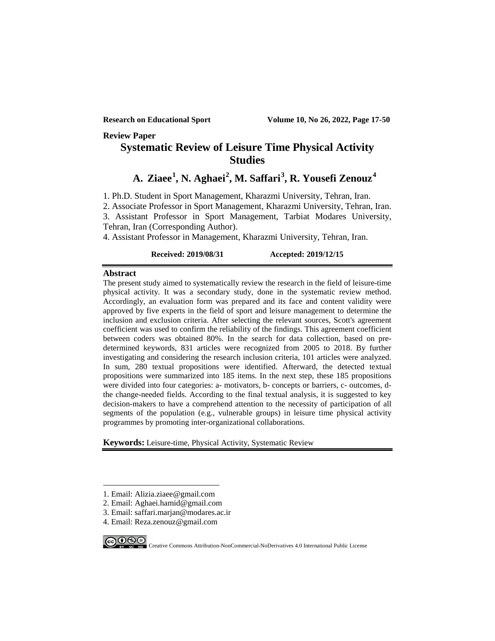**Review Paper**

# **Systematic Review of Leisure Time Physical Activity Studies**

# **A. Ziaee[1](#page-0-0) , N. Aghaei[2](#page-0-1) , M. Saffari[3](#page-0-2) , R. Yousefi Zenouz[4](#page-0-3)**

1. Ph.D. Student in Sport Management, Kharazmi University, Tehran, Iran.

2. Associate Professor in Sport Management, Kharazmi University, Tehran, Iran.

3. Assistant Professor in Sport Management, Tarbiat Modares University, Tehran, Iran (Corresponding Author).

4. Assistant Professor in Management, Kharazmi University, Tehran, Iran.

### **Received: 2019/08/31 Accepted: 2019/12/15**

#### **Abstract**

The present study aimed to systematically review the research in the field of leisure-time physical activity. It was a secondary study, done in the systematic review method. Accordingly, an evaluation form was prepared and its face and content validity were approved by five experts in the field of sport and leisure management to determine the inclusion and exclusion criteria. After selecting the relevant sources, Scott's agreement coefficient was used to confirm the reliability of the findings. This agreement coefficient between coders was obtained 80%. In the search for data collection, based on predetermined keywords, 831 articles were recognized from 2005 to 2018. By further investigating and considering the research inclusion criteria, 101 articles were analyzed. In sum, 280 textual propositions were identified. Afterward, the detected textual propositions were summarized into 185 items. In the next step, these 185 propositions were divided into four categories: a- motivators, b- concepts or barriers, c- outcomes, dthe change-needed fields. According to the final textual analysis, it is suggested to key decision-makers to have a comprehend attention to the necessity of participation of all segments of the population (e.g., vulnerable groups) in leisure time physical activity programmes by promoting inter-organizational collaborations.

**Keywords:** Leisure-time, Physical Activity, Systematic Review

<span id="page-0-3"></span><sup>4.</sup> Email: Reza.zenouz@gmail.com



-

COOS Creative Commons Attribution-NonCommercial-NoDerivatives 4.0 International Public License

<span id="page-0-0"></span><sup>1.</sup> Email: Alizia.ziaee@gmail.com

<span id="page-0-1"></span><sup>2.</sup> Email: Aghaei.hamid@gmail.com

<span id="page-0-2"></span><sup>3.</sup> Email: saffari.marjan@modares.ac.ir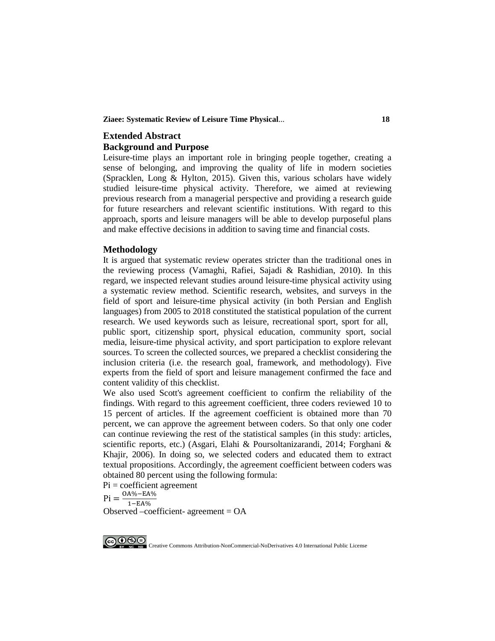#### **Ziaee: Systematic Review of Leisure Time Physical**... **18**

# **Extended Abstract Background and Purpose**

Leisure-time plays an important role in bringing people together, creating a sense of belonging, and improving the quality of life in modern societies (Spracklen, Long & Hylton, 2015). Given this, various scholars have widely studied leisure-time physical activity. Therefore, we aimed at reviewing previous research from a managerial perspective and providing a research guide for future researchers and relevant scientific institutions. With regard to this approach, sports and leisure managers will be able to develop purposeful plans and make effective decisions in addition to saving time and financial costs.

#### **Methodology**

It is argued that systematic review operates stricter than the traditional ones in the reviewing process (Vamaghi, Rafiei, Sajadi & Rashidian, 2010). In this regard, we inspected relevant studies around leisure-time physical activity using a systematic review method. Scientific research, websites, and surveys in the field of sport and leisure-time physical activity (in both Persian and English languages) from 2005 to 2018 constituted the statistical population of the current research. We used keywords such as leisure, recreational sport, sport for all, public sport, citizenship sport, physical education, community sport, social media, leisure-time physical activity, and sport participation to explore relevant sources. To screen the collected sources, we prepared a checklist considering the inclusion criteria (i.e. the research goal, framework, and methodology). Five experts from the field of sport and leisure management confirmed the face and content validity of this checklist.

We also used Scott's agreement coefficient to confirm the reliability of the findings. With regard to this agreement coefficient, three coders reviewed 10 to 15 percent of articles. If the agreement coefficient is obtained more than 70 percent, we can approve the agreement between coders. So that only one coder can continue reviewing the rest of the statistical samples (in this study: articles, scientific reports, etc.) (Asgari, Elahi & Poursoltanizarandi, 2014; Forghani & Khajir, 2006). In doing so, we selected coders and educated them to extract textual propositions. Accordingly, the agreement coefficient between coders was obtained 80 percent using the following formula:

 $Pi = coefficient$  agreement

 $Pi = \frac{OA\% - EA\%}{1 - EA\%}$ 

Observed –coefficient- agreement = OA



COOSO Creative Commons Attribution-NonCommercial-NoDerivatives 4.0 International Public License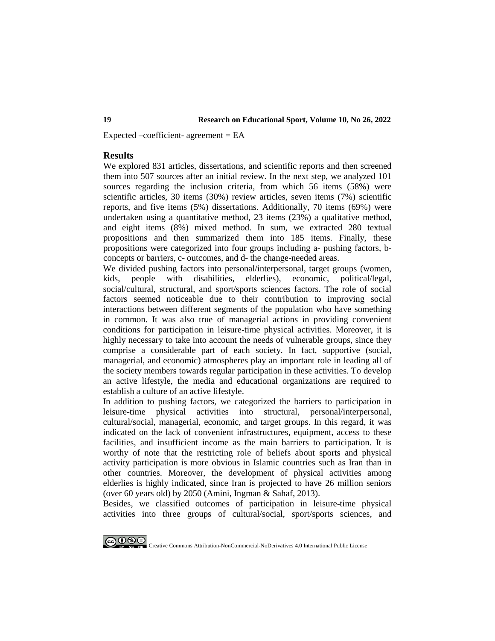Expected –coefficient- agreement  $= EA$ 

#### **Results**

We explored 831 articles, dissertations, and scientific reports and then screened them into 507 sources after an initial review. In the next step, we analyzed 101 sources regarding the inclusion criteria, from which 56 items (58%) were scientific articles, 30 items (30%) review articles, seven items (7%) scientific reports, and five items (5%) dissertations. Additionally, 70 items (69%) were undertaken using a quantitative method, 23 items (23%) a qualitative method, and eight items (8%) mixed method. In sum, we extracted 280 textual propositions and then summarized them into 185 items. Finally, these propositions were categorized into four groups including a- pushing factors, bconcepts or barriers, c- outcomes, and d- the change-needed areas.

We divided pushing factors into personal/interpersonal, target groups (women, kids, people with disabilities, elderlies), economic, political/legal, social/cultural, structural, and sport/sports sciences factors. The role of social factors seemed noticeable due to their contribution to improving social interactions between different segments of the population who have something in common. It was also true of managerial actions in providing convenient conditions for participation in leisure-time physical activities. Moreover, it is highly necessary to take into account the needs of vulnerable groups, since they comprise a considerable part of each society. In fact, supportive (social, managerial, and economic) atmospheres play an important role in leading all of the society members towards regular participation in these activities. To develop an active lifestyle, the media and educational organizations are required to establish a culture of an active lifestyle.

In addition to pushing factors, we categorized the barriers to participation in leisure-time physical activities into structural, personal/interpersonal, cultural/social, managerial, economic, and target groups. In this regard, it was indicated on the lack of convenient infrastructures, equipment, access to these facilities, and insufficient income as the main barriers to participation. It is worthy of note that the restricting role of beliefs about sports and physical activity participation is more obvious in Islamic countries such as Iran than in other countries. Moreover, the development of physical activities among elderlies is highly indicated, since Iran is projected to have 26 million seniors (over 60 years old) by 2050 (Amini, Ingman & Sahaf, 2013).

Besides, we classified outcomes of participation in leisure-time physical activities into three groups of cultural/social, sport/sports sciences, and



COOS Creative Commons Attribution-NonCommercial-NoDerivatives 4.0 International Public License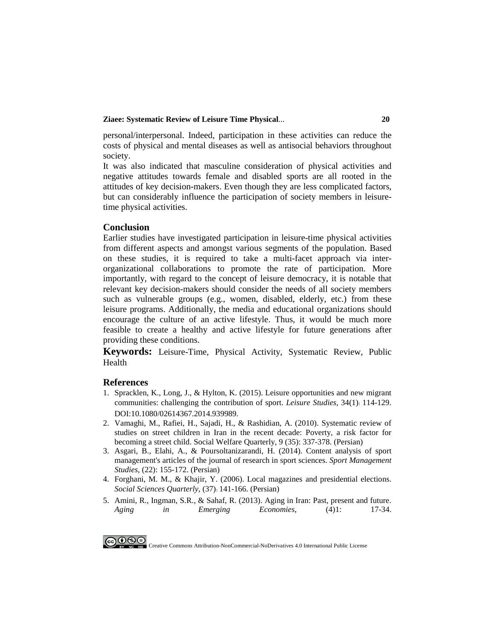#### **Ziaee: Systematic Review of Leisure Time Physical**... **20**

personal/interpersonal. Indeed, participation in these activities can reduce the costs of physical and mental diseases as well as antisocial behaviors throughout society.

It was also indicated that masculine consideration of physical activities and negative attitudes towards female and disabled sports are all rooted in the attitudes of key decision-makers. Even though they are less complicated factors, but can considerably influence the participation of society members in leisuretime physical activities.

#### **Conclusion**

Earlier studies have investigated participation in leisure-time physical activities from different aspects and amongst various segments of the population. Based on these studies, it is required to take a multi-facet approach via interorganizational collaborations to promote the rate of participation. More importantly, with regard to the concept of leisure democracy, it is notable that relevant key decision-makers should consider the needs of all society members such as vulnerable groups (e.g., women, disabled, elderly, etc.) from these leisure programs. Additionally, the media and educational organizations should encourage the culture of an active lifestyle. Thus, it would be much more feasible to create a healthy and active lifestyle for future generations after providing these conditions.

**Keywords:** Leisure-Time, Physical Activity, Systematic Review, Public Health

#### **References**

- 1. [Spracklen, K., Long, J., & Hylton, K. \(2015\). Leisure opportunities and new migrant](https://cogentoa.tandfonline.com/doi/full/10.1080/02614367.2014.939989)  [communities: challenging the contribution of sport.](https://cogentoa.tandfonline.com/doi/full/10.1080/02614367.2014.939989) *Leisure Studies*, 34(1): 114-129. [DOI:10.1080/02614367.2014.939989.](https://cogentoa.tandfonline.com/doi/full/10.1080/02614367.2014.939989)
- 2. [Vamaghi, M., Rafiei, H., Sajadi, H., & Rashidian, A. \(2010\). Systematic review of](http://refahj.uswr.ac.ir/article-1-554-en.html)  [studies on street children in Iran in the recent decade: Poverty, a risk factor](http://refahj.uswr.ac.ir/article-1-554-en.html) for [becoming a street child. Social Welfare Quarterly, 9 \(35\): 337-378.](http://refahj.uswr.ac.ir/article-1-554-en.html) (Persian)
- 3. [Asgari, B., Elahi, A., & Poursoltanizarandi, H. \(2014\). Content analysis of sport](https://smrj.ssrc.ac.ir/article_214.html?lang=en)  [management's articles of the journal of research in sport sciences.](https://smrj.ssrc.ac.ir/article_214.html?lang=en) *Sport Management Studies*[, \(22\): 155-172.](https://smrj.ssrc.ac.ir/article_214.html?lang=en) (Persian)
- 4. [Forghani, M. M., & Khajir, Y. \(2006\). Local magazines and presidential elections.](https://www.sid.ir/fa/journal/ViewPaper.aspx?id=87235)  *[Social Sciences Quarterly](https://www.sid.ir/fa/journal/ViewPaper.aspx?id=87235)*, (37): 141-166. (Persian)
- 5. [Amini, R., Ingman, S.R., & Sahaf, R. \(2013\). Aging in Iran: Past, present and future.](https://www.academia.edu/2529557/AGING_IN_IRAN_PAST_PRESENT_AND_FUTURE)  *[Aging in Emerging Economies](https://www.academia.edu/2529557/AGING_IN_IRAN_PAST_PRESENT_AND_FUTURE)*, (4)1: 17-34.



COOS Creative Commons Attribution-NonCommercial-NoDerivatives 4.0 International Public License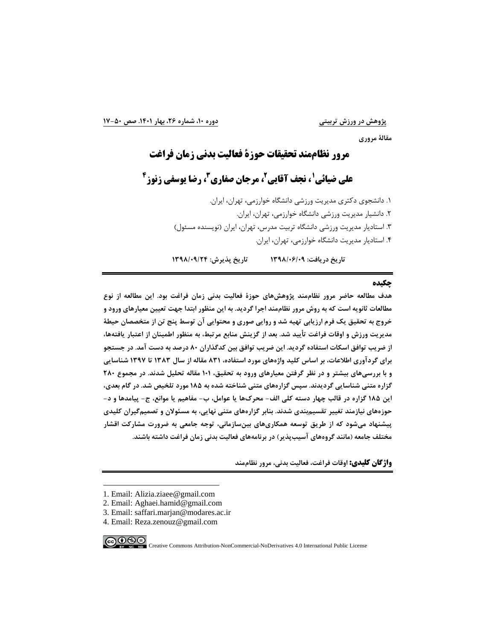**مقالۀ مروري**

# **1 مرور نظاممند تحقیقات حوزة فعالیت بدنی زمان فراغت**

# **4 ، رضا یوسفی زنوز <sup>3</sup> ، مرجان صفاري <sup>2</sup> ، نجف آقایی <sup>1</sup> علی ضیائی**

.1 دانشجوي دکتري مدیریت ورزشی دانشگاه خوارزمی، تهران، ایران. .2 دانشیار مدیریت ورزشی دانشگاه خوارزمی، تهران، ایران. .3 استادیار مدیریت ورزشی دانشگاه تربیت مدرس، تهران، ایران (نویسنده مسئول) .[4](#page-4-0) استادیار مدیریت دانشگاه خوارزمی، تهران، ایران.

**تاریخ دریافت: 1398/06/09 تاریخ پذیرش: 1398/09/24**

#### **چکیده**

**هدف مطالعه حاضر مرور نظاممند پژوهشهاي حوزة فعالیت بدنی زمان فراغت بود. این مطالعه از نوع مطالعات ثانویه است که به روش مرور نظاممند اجرا گردید. به این منظور ابتدا جهت تعیین معیارهاي ورود و خروج به تحقیق یک فرم ارزیابی تهیه شد و روایی صوري و محتوایی آن توسط پنج تن از متخصصان حیطۀ مدیریت ورزش و اوقات فراغت تأیید شد. بعد از گزینش منابع مرتبط، به منظور اطمینان از اعتبار یافتهها، از ضریب توافق اسکات استفاده گردید. این ضریب توافق بین کدگذاران 80 درصد به دست آمد. در جستجو براي گردآوري اطلاعات، بر اساس کلید واژههاي مورد استفاده، 831 مقاله از سال 1383 تا 1397 شناسایی و با بررسیهاي بیشتر و در نظر گرفتن معیارهاي ورود به تحقیق، 101 مقاله تحلیل شدند. در مجموع 280 گزاره متنی شناسایی گردیدند. سپس گزارههاي متنی شناخته شده به 185 مورد تلخیص شد. در گام بعدي، این 185 گزاره در قالب چهار دسته کلی الف- محركها یا عوامل، ب- مفاهیم یا موانع، ج- پیامدها و د- حوزههاي نیازمند تغییر تقسیمبندي شدند. بنابر گزارههاي متنی نهایی، به مسئولان و تصمیمگیران کلیدي پیشنهاد میشود که از طریق توسعه همکاريهاي بینسازمانی، توجه جامعی به ضرورت مشارکت اقشار مختلف جامعه (مانند گروههاي آسیبپذیر) در برنامههاي فعالیت بدنی زمان فراغت داشته باشند.**

**واژگان کلیدي: اوقات فراغت، فعالیت بدنی، مرور نظاممند**

$$
\textcolor{blue}{\bigcirc} \textcolor{blue}{\textcolor{blue}{\bullet}} \textcolor{blue}{\textcolor{blue}{\bullet}}
$$

-

EV NC ND Creative Commons Attribution-NonCommercial-NoDerivatives 4.0 International Public License

<span id="page-4-0"></span><sup>1.</sup> Email: Alizia.ziaee@gmail.com

<sup>2.</sup> Email: Aghaei.hamid@gmail.com

<sup>3.</sup> Email: saffari.marjan@modares.ac.ir

<sup>4.</sup> Email: Reza.zenouz@gmail.com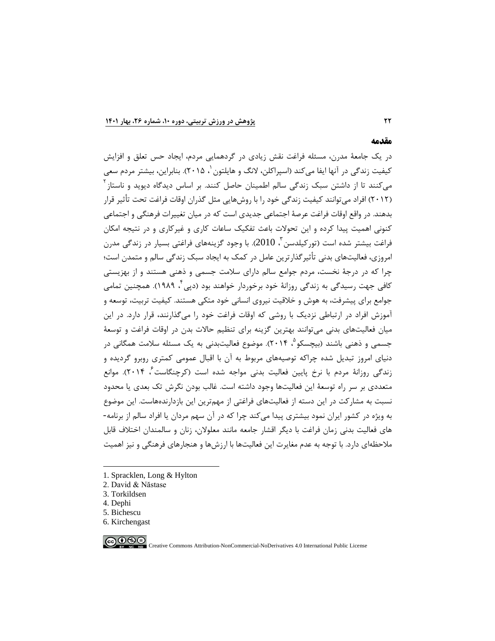#### **مقدمه**

در یک جامعۀ مدرن، مسئله فراغت نقش زیادي در گردهمایی مردم، ایجاد حس تعلق و افزایش کیفیت زندگی در آنها ایفا می کند (اسپراکلن[،](#page-5-0) لانگ و هایلتون <sup>۱</sup>، ۲۰۱۵). بنابراین، بیشتر مردم سعی میکنند تا از داشتن سبک زندگی سالم اطمینان حاصل کنند. بر اساس دیدگاه دیوید و ناستاز<sup>۲</sup> (2012) افراد میتوانند کیفیت زندگی خود را با روشهایی مثل گذران اوقات فراغت تحت تأثیر قرار بدهند. در واقع اوقات فراغت عرصۀ اجتماعی جدیدي است که در میان تغییرات فرهنگی و اجتماعی کنونی اهمیت پیدا کرده و این تحولات باعث تفکیک ساعات کاري و غیرکاري و در نتیجه امکان فراغت پیشتر شده است (تورکیلدسن <sup>7</sup>، 2010). با وجود گزینههای فراغتی بسیار در زندگی مدرن امروزي، فعالیتهاي بدنی تأثیرگذارترین عامل در کمک به ایجاد سبک زندگی سالم و متمدن است؛ چرا که در درجۀ نخست، مردم جوامع سالم داراي سلامت جسمی و ذهنی هستند و از بهزیستی کافی جهت رسیدگی به زندگی روزانۀ خود برخوردار خواهند بود (دپی ٔ، ۱۹۸۹). همچنین تمامی جوامع براي پیشرفت، به هوش و خلاقیت نیروي انسانی خود متکی هستند. کیفیت تربیت، توسعه و آموزش افراد در ارتباطی نزدیک با روشی که اوقات فراغت خود را میگذارنند، قرار دارد. در این میان فعالیتهاي بدنی میتوانند بهترین گزینه براي تنظیم حالات بدن در اوقات فراغت و توسعۀ جسمی و ذهنی باشند (بیچسکو $^{\circ}$ ، ۲۰۱۴). موضوع فعالیتبدنی به یک مسئله سلامت همگانی در دنیاي امروز تبدیل شده چراکه توصیههاي مربوط به آن با اقبال عمومی کمتري روبرو گردیده و زندگی روزانۀ مردم با نرخ پایین فعالیت بدنی مواجه شده است (کرچنگاست ُ، ۲۰۱۴). موانع متعددي بر سر راه توسعۀ این فعالیتها وجود داشته است. غالب بودن نگرش تک بعدي یا محدود نسبت به مشارکت در این دسته از فعالیتهاي فراغتی از مهمترین این بازدارندههاست. این موضوع به ویژه در کشور ایران نمود بیشتري پیدا میکند چرا که در آن سهم مردان یا افراد سالم از برنامه- هاي فعالیت بدنی زمان فراغت با دیگر اقشار جامعه مانند معلولان، زنان و سالمندان اختلاف قابل ملاحظهاي دارد. با توجه به عدم مغایرت این فعالیتها با ارزشها و هنجارهاي فرهنگی و نیز اهمیت

- <span id="page-5-0"></span>[1.](#page-5-5) Spracklen, Long & Hylton
- <span id="page-5-1"></span>2. David & Năstase
- <span id="page-5-2"></span>3. Torkildsen
- <span id="page-5-3"></span>4. Dephi

-

- <span id="page-5-4"></span>5. Bichescu
- <span id="page-5-5"></span>6. Kirchengast

 $@@@@$ 

Creative Commons Attribution-NonCommercial-NoDerivatives 4.0 International Public License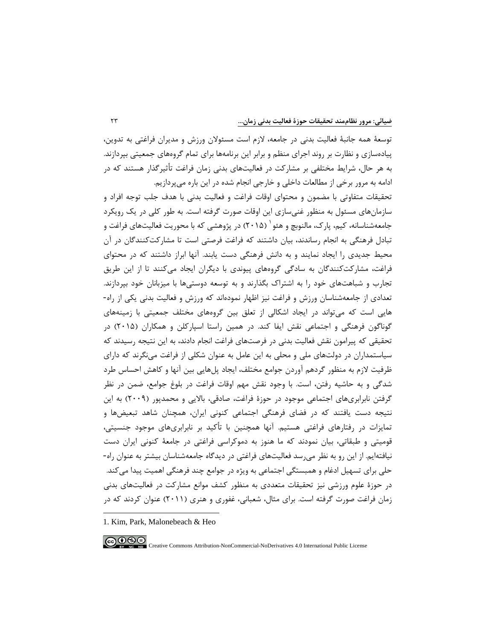توسعۀ همه جانبۀ فعالیت بدنی در جامعه، لازم است مسئولان ورزش و مدیران فراغتی به تدوین، پیادهسازي و نظارت بر روند اجراي منظم و برابر این برنامهها براي تمام گروههاي جمعیتی بپردازند. به هر حال، شرایط مختلفی بر مشارکت در فعالیتهاي بدنی زمان فراغت تأثیرگذار هستند که در ادامه به مرور برخی از مطالعات داخلی و خارجی انجام شده در این باره میپردازیم.

تحقیقات متفاوتی با مضمون و محتواي اوقات فراغت و فعالیت بدنی با هدف جلب توجه افراد و سازمانهاي مسئول به منظور غنیسازي این اوقات صورت گرفته است. به طور کلی در یک رویکرد جامعهشناسانه، کیم، پارک، مالنوبچ و هئو <sup>۱</sup> (۲۰۱۵) در پژوهشی که با محوریت فعالیتهای فراغت و تبادل فرهنگی به انجام رساندند، بیان داشتند که فراغت فرصتی است تا مشارکتکنندگان در آن محیط جدیدي را ایجاد نمایند و به دانش فرهنگی دست یابند. آنها ابراز داشتند که در محتواي فراغت، مشارکتکنندگان به سادگی گروههاي پیوندي با دیگران ایجاد میکنند تا از این طریق تجارب و شباهتهاي خود را به اشتراك بگذارند و به توسعه دوستیها با میزبانان خود بپردازند. تعدادي از جامعهشناسان ورزش و فراغت نیز اظهار نمودهاند که ورزش و فعالیت بدنی یکی از راه- هایی است که میتواند در ایجاد اشکالی از تعلق بین گروههاي مختلف جمعیتی با زمینههاي گوناگون فرهنگی و اجتماعی نقش ایفا کند. در همین راستا اسپارکلن و همکاران (2015) در تحقیقی که پیرامون نقش فعالیت بدنی در فرصتهاي فراغت انجام دادند، به این نتیجه رسیدند که سیاستمداران در دولتهاي ملی و محلی به این عامل به عنوان شکلی از فراغت مینگرند که داراي ظرفیت لازم به منظور گردهم آوردن جوامع مختلف، ایجاد پلهایی بین آنها و کاهش احساس طرد شدگی و به حاشیه رفتن، است. با وجود نقش مهم اوقات فراغت در بلوغ جوامع، ضمن در نظر گرفتن نابرابريهاي اجتماعی موجود در حوزة فراغت، صادقی، بالایی و محمدپور (2009) به این نتیجه دست یافتند که در فضاي فرهنگی اجتماعی کنونی ایران، همچنان شاهد تبعیضها و تمایزات در رفتارهاي فراغتی هستیم. آنها همچنین با تأکید بر نابرابريهاي موجود جنسیتی، قومیتی و طبقاتی، بیان نمودند که ما هنوز به دموکراسی فراغتی در جامعۀ کنونی ایران دست نیافتهایم. از این رو به نظر میرسد فعالیتهاي فراغتی در دیدگاه جامعهشناسان بیشتر به عنوان راه- حلی براي تسهیل ادغام و همبستگی اجتماعی به ویژه در جوامع چند فرهنگی اهمیت پیدا میکند. در حوزة علوم ورزشی نیز تحقیقات متعددي به منظور کشف موانع مشارکت در فعالیتهاي بدنی زمان فراغت صورت گرفته است. براي مثال، شعبانی، غفوري و هنري (2011) عنوان کردند که در

$$
\textcircled{\footnotesize\textcircled{\footnotesize\textcircled{\footnotesize\textcirc}}} \textcircled{\footnotesize\textcircled{\footnotesize\textcirc}} \textcircled{\footnotesize\textcircled{\footnotesize\textcirc}} \textcircled{\footnotesize\textcircled{\footnotesize\textcirc}} \textcircled{\footnotesize\textcircled{\footnotesize\textcirc}} \textcircled{\footnotesize\textcircled{\footnotesize\textcirc}} \textcircled{\footnotesize\textcircled{\footnotesize\textcirc}} \textcircled{\footnotesize\textcircled{\footnotesize\textcirc}} \textcircled{\footnotesize\textcircled{\footnotesize\textcirc}} \textcircled{\footnotesize\textcircled{\footnotesize\textcirc}} \textcircled{\footnotesize\textcircled{\footnotesize\textcirc}} \textcircled{\footnotesize\textcircled{\footnotesize\textcirc}} \textcircled{\footnotesize\textcircled{\footnotesize\textcirc}} \textcircled{\footnotesize\textcircled{\footnotesize\textcirc}} \textcircled{\footnotesize\textcircled{\footnotesize\textcirc}} \textcircled{\footnotesize\textcircled{\footnotesize\textcirc}} \textcircled{\footnotesize\textcircled{\footnotesize\textcirc}} \textcircled{\footnotesize\textcircled{\footnotesize\textcirc}} \textcircled{\footnotesize\textcircled{\footnotesize\textcirc}} \textcircled{\footnotesize\textcircled{\footnotesize\textcirc}} \textcircled{\footnotesize\textcircled{\footnotesize\textcirc}} \textcircled{\footnotesize\textcircled{\footnotesize\textcirc}} \textcircled{\footnotesize\textcircled{\footnotesize\textcirc}} \textcircled{\footnotesize\textcircled{\footnotesize\textcirc}} \textcircled{\footnotesize\textcircled{\footnotesize\textcirc}} \textcircled{\footnotesize\textcircled{\footnotesize\textcirc}} \textcircled{\footnotesize\textcircled{\footnotesize\textcirc}} \textcircled{\footnotesize\textcircled{\footnotesize\textcirc}} \textcircled{\footnotesize\textcircled{\footnotesize\textcirc}} \textcircled{\footnotesize\textcircled{\footnotesize\textcirc}} \textcircled{\footnotesize\textcircled{\textcirc}}
$$

-

ERN NG NG Creative Commons Attribution-NonCommercial-NoDerivatives 4.0 International Public License

<span id="page-6-0"></span>[<sup>1.</sup>](#page-6-0) Kim, Park, Malonebeach & Heo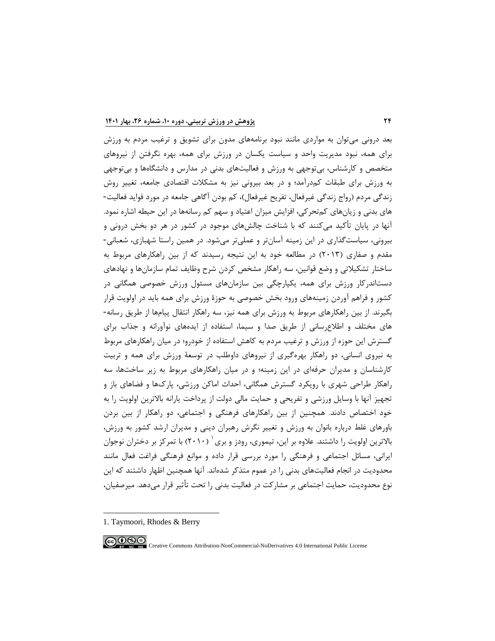بعد درونی میتوان به مواردي مانند نبود برنامههاي مدون براي تشویق و ترغیب مردم به ورزش براي همه، نبود مدیریت واحد و سیاست یکسان در ورزش براي همه، بهره نگرفتن از نیروهاي متخصص و کارشناس، بیتوجهی به ورزش و فعالیتهاي بدنی در مدارس و دانشگاهها و بیتوجهی به ورزش براي طبقات کمدرآمد؛ و در بعد بیرونی نیز به مشکلات اقتصادي جامعه، تغییر روش زندگی مردم (رواج زندگی غیرفعال، تفریح غیرفعال)، کم بودن آگاهی جامعه در مورد فواید فعالیت- هاي بدنی و زیانهاي کمتحرکی، افزایش میزان اعتیاد و سهم کم رسانهها در این حیطه اشاره نمود. آنها در پایان تأکید میکنند که با شناخت چالشهاي موجود در کشور در هر دو بخش درونی و بیرونی، سیاستگذاري در این زمینه آسانتر و عملیتر میشود. در همین راستا شهبازي، شعبانی- مقدم و صفاري (2013) در مطالعه خود به این نتیجه رسیدند که از بین راهکارهاي مربوط به ساختار تشکیلاتی و وضع قوانین، سه راهکار مشخص کردن شرح وظایف تمام سازمانها و نهادهاي دستاندرکار ورزش براي همه، یکپارچگی بین سازمانهاي مسئول ورزش خصوصی همگانی در کشور و فراهم آوردن زمینههاي ورود بخش خصوصی به حوزة ورزش براي همه باید در اولویت قرار بگیرند. از بین راهکارهاي مربوط به ورزش براي همه نیز، سه راهکار انتقال پیامها از طریق رسانه- هاي مختلف و اطلاعرسانی از طریق صدا و سیما، استفاده از ایدههاي نوآورانه و جذاب براي گسترش این حوزه از ورزش و ترغیب مردم به کاهش استفاده از خودرو؛ در میان راهکارهاي مربوط به نیروي انسانی، دو راهکار بهرهگیري از نیروهاي داوطلب در توسعۀ ورزش براي همه و تربیت کارشناسان و مدیران حرفهاي در این زمینه؛ و در میان راهکارهاي مربوط به زیر ساختها، سه راهکار طراحی شهري با رویکرد گسترش همگانی، احداث اماکن ورزشی، پاركها و فضاهاي باز و تجهیز آنها با وسایل ورزشی و تفریحی و حمایت مالی دولت از پرداخت یارانه بالاترین اولویت را به خود اختصاص دادند. همچنین از بین راهکارهاي فرهنگی و اجتماعی، دو راهکار از بین بردن باورهاي غلط درباره بانوان به ورزش و تغییر نگرش رهبران دینی و مدیران ارشد کشور به ورزش، بالاترین اولویت را داشتند. علاوه بر این، تیموری، رودز و بری  $(7\cdot 1\cdot)$  $(7\cdot 1\cdot)$  $(7\cdot 1\cdot)$  با تمرکز بر دختران نوجوان ایرانی، مسائل اجتماعی و فرهنگی را مورد بررسی قرار داده و موانع فرهنگی فراغت فعال مانند محدودیت در انجام فعالیتهاي بدنی را در عموم متذکر شدهاند. آنها همچنین اظهار داشتند که این نوع محدودیت، حمایت اجتماعی بر مشارکت در فعالیت بدنی را تحت تأثیر قرار میدهد. میرصفیان،

-

<span id="page-7-0"></span><sup>1.</sup> Taymoori, Rhodes & Berry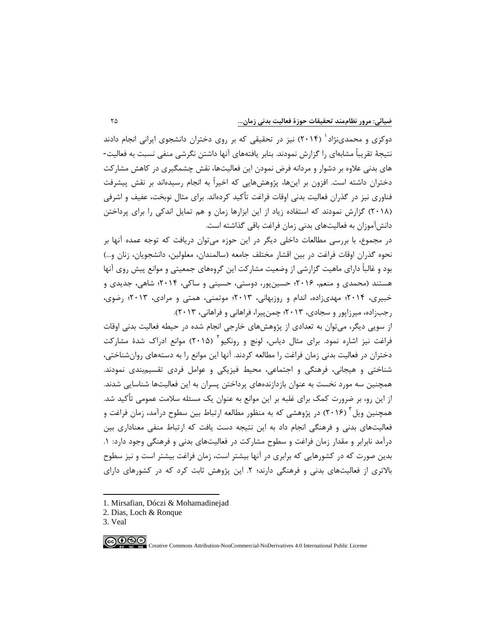دوکزی و محمدینژاد <sup>۱</sup> (۲۰۱۴) نیز در تحقیقی که بر روی دختران دانشجوی ایرانی انجام دادند نتیجۀ تقریباً مشابهاي را گزارش نمودند. بنابر یافتههاي آنها داشتن نگرشی منفی نسبت به فعالیت- هاي بدنی علاوه بر دشوار و مردانه فرض نمودن این فعالیتها، نقش چشمگیري در کاهش مشارکت دختران داشته است. افزون بر اینها، پژوهشهایی که اخیراً به انجام رسیدهاند بر نقش پیشرفت فناوري نیز در گذران فعالیت بدنی اوقات فراغت تأکید کردهاند. براي مثال نوبخت، عفیف و اشرفی (2018) گزارش نمودند که استفاده زیاد از این ابزارها زمان و هم تمایل اندکی را براي پرداختن دانشآموزان به فعالیتهاي بدنی زمان فراغت باقی گذاشته است.

در مجموع، با بررسی مطالعات داخلی دیگر در این حوزه میتوان دریافت که توجه عمده آنها بر نحوه گذران اوقات فراغت در بین اقشار مختلف جامعه (سالمندان، معلولین، دانشجویان، زنان و...) بود و غالباً [د](#page-8-0)اراي ماهیت گزارشی از وضعیت مشارکت این گروههاي جمعیتی و موانع پیش روي آنها هستند (محمدي و منعم، 2016؛ حسینپور، دوستی، حسینی و ساکی، 2014؛ شاهی، جدیدي و خبیري، 2014؛ مهديزاده، اندام و روزبهانی، 2013؛ موتمنی، همتی و مرادي، 2013؛ رضوي، رجبزاده، میرزاپور و سجادي، 2013؛ چمنپیرا، فراهانی و فراهانی، 2013).

از سویی دیگر، میتوان به تعدادي از پژوهشهاي خارجی انجام شده در حیطه فعالیت بدنی اوقات فراغت نیز اشاره نمود. برای مثال دیاس، لونچ و رونکیو<sup>۲</sup> (۲۰۱۵) موانع ادراک شدهٔ مشارکت دختران در فعالیت بدنی زمان فراغت را مطالعه کردند. آنها این موانع را به دستههاي روانشناختی، شناختی و هیجانی، فرهنگی و اجتماعی، محیط فیزیکی و عوامل فردي تقسیمبندي نمودند. همچنین سه مورد نخست به عنوان بازدازندههاي پرداختن پسران به این فعالیتها شناسایی شدند. از این رو، بر ضرورت کمک براي غلبه بر این موانع به عنوان یک مسئله سلامت عمومی تأکید شد. همچنین ویل<sup>۳</sup> (۲۰۱۶) در پژوهشی که به منظور مطالعه ارتباط بین سطوح درآمد، زمان فراغت و فعالیتهاي بدنی و فرهنگی انجام داد به این نتیجه دست یافت که ارتباط منفی معناداري بین درآمد نابرابر و مقدار زمان فراغت و سطوح مشارکت در فعالیتهاي بدنی و فرهنگی وجود دارد: .1 بدین صورت که در کشورهایی که برابري در آنها بیشتر است، زمان فراغت بیشتر است و نیز سطوح بالاتري از فعالیتهاي بدنی و فرهنگی دارند؛ .2 این پژوهش ثابت کرد که در کشورهاي داراي

- <span id="page-8-0"></span>[1.](#page-8-2) Mirsafian, Dóczi & Mohamadinejad
- <span id="page-8-1"></span>2. Dias, Loch & Ronque
- <span id="page-8-2"></span>3. Veal

-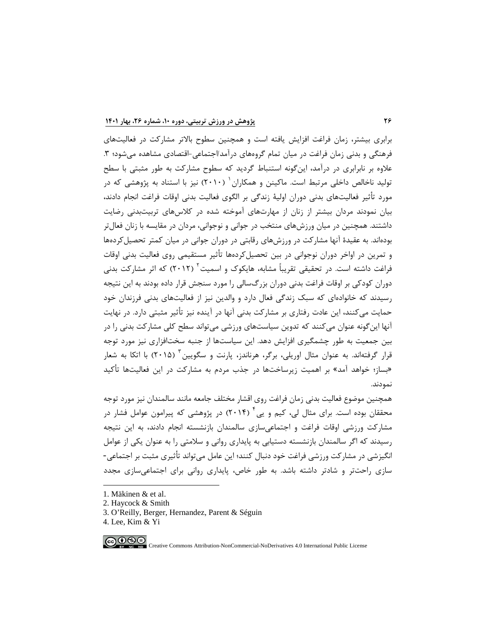برابري بیشتر، زمان فراغت افزایش یافته است و همچنین سطوح بالاتر مشارکت در فعالیتهاي فرهنگی و بدنی زمان فراغت در میان تمام گروههای درآمد/اجتماعی-اقتصادی مشاهده می شود؛ ۳. علاوه بر نابرابري در درآمد، اینگونه استنباط گردید که سطوح مشارکت به طور مثبتی با سطح تولید ناخالص داخلی مرتبط است. ماکینن و همکاران <sup>۱</sup> (۲۰۱۰) نیز با استناد به پژوهشی که در مورد تأثیر فعالیتهاي بدنی دوران اولیۀ زندگی بر الگوي فعالیت بدنی اوقات فراغت انجام دادند، بیان نمودند مردان بیشتر از زنان از مهارتهاي آموخته شده در کلاسهاي تربیتبدنی رضایت داشتند. همچنین در میان ورزشهاي منتخب در جوانی و نوجوانی، مردان در مقایسه با زنان فعالتر بودهاند. به عقیدة آنها مشارکت در ورزشهاي رقابتی در دوران جوانی در میان کمتر تحصیلکردهها و تمرین در اواخر دوران نوجوانی در بین تحصیلکردهها تأثیر مستقیمی روي فعالیت بدنی اوقات فراغت داشته است. در تحقیقی تقریباً مشابه، هایکوک و اسمیت<sup>۲</sup> (۲۰۱۲) که اثر مشارکت بدنی دوران کودکی بر اوقات فراغت بدنی دوران بزرگسالی را مورد سنجش قرار داده بودند به این نتیجه رسیدند که خانوادهاي که سبک زندگی فعال دارد و والدین نیز از فعالیتهاي بدنی فرزندان خود حمایت میکنند، این عادت رفتاري بر مشارکت بدنی آنها در آینده نیز تأثیر مثبتی دارد. در نهایت آنها اینگونه عنوان میکنند که تدوین سیاستهاي ورزشی میتواند سطح کلی مشارکت بدنی را در بین جمعیت به طور چشمگیري افزایش دهد. این سیاستها از جنبه سختافزاري نیز مورد توجه قرار گرفتهاند. به عنوان مثال اوریلی، برگر، هرناندز، پارنت و سگویین ۳ (۲۰۱۵) با اتکا به شعار «بساز؛ خواهد آمد» بر اهمیت زیرساختها در جذب مردم به مشارکت در این فعالیتها تأکید نمودند.

همچنین موضوع فعالیت بدنی زمان فراغ[ت](#page-9-2) روي اقشار مختلف جامعه مانند سالمندان نیز مورد توجه محققان بوده است. برای مثال لی، کیم و یی<sup>۴</sup> (۲۰۱۴) در پژوهشی که پیرامون عوامل فشار در مشارکت ورزشی اوقات فراغت و اجتماعیسازي سالمندان بازنشسته انجام دادند، به این نتیجه رسیدند که اگر سالمندان بازنشسته دستیابی به پایداري روانی و سلامتی را به عنوان یکی از عوامل انگیزشی در مشارکت ورزشی فراغت خود دنبال کنند؛ این عامل میتواند تأثیري مثبت بر اجتماعی- سازي راحتتر و شادتر داشته باشد. به طور خاص، پایداري روانی براي اجتماعیسازي مجدد

- <span id="page-9-0"></span>[1.](#page-9-3) Mäkinen & et al.
- <span id="page-9-1"></span>2. Haycock & Smith
- <span id="page-9-2"></span>3[. O'Reilly,](https://www.sciencedirect.com/science/article/pii/S1441352314000515#!) Berger, Hernandez, Parent & Séguin
- <span id="page-9-3"></span>4. Lee, Kim & Yi

ெ⊕ை

-

Creative Commons Attribution-NonCommercial-NoDerivatives 4.0 International Public License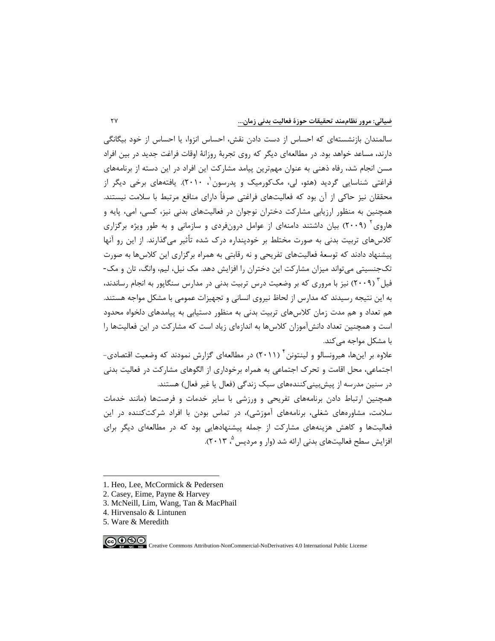سالمندان بازنشستهاي که احساس از دست دادن نقش، احساس انزوا، یا احساس از خود بیگانگی دارند، مساعد خواهد بود. در مطالعهاي دیگر که روي تجربۀ روزانۀ اوقات فراغت جدید در بین افراد مسن انجام شد، رفاه ذهنی به عنوان مهمترین پیامد مشارکت این افراد در این دسته از برنامههاي فراغتی شناسایی گردید (هئو[،](#page-10-0) لی، مککورمیک و پدرسون ۱۰ ۲۰۱۰). یافتههای برخی دیگر از محققان نیز حاکی از آن بود که فعالیتهاي فراغتی صرفاً داراي منافع مرتبط با سلامت نیستند. همچنین به منظور ارزیابی مشارکت دختران نوجوان در فعالیتهاي بدنی نیز، کسی، امی، پایه و هاروی<sup>۲</sup> (۲۰۰۹) بیان داشتند دامنهای از عوامل درونفردی و سازمانی و به طور ویژه برگزاری کلاسهاي تربیت بدنی به صورت مختلط بر خودپنداره درك شده تأثیر میگذارند. از این رو آنها پیشنهاد دادند که توسعۀ فعالیتهاي تفریحی و نه رقابتی به همراه برگزاري این کلاسها به صورت تکجنسیتی میتواند میزان مشارکت این دختران را افزایش دهد. مک نیل، لیم، وانگ، تان و مک- فیل<sup>۳</sup> (۲۰۰۹) نیز با مروری که بر وضعیت درس تربیت بدنی در مدارس سنگاپور به انجام رساندند، به این نتیجه رسیدند که مدارس از لحاظ نیروي انسانی و تجهیزات عمومی با مشکل مواجه هستند. هم تعداد و هم مدت زمان کلاسهاي تربیت بدنی به منظور دستیابی به پیامدهاي دلخواه محدود است و همچنین تعداد دانشآموزان کلاسها به اندازهاي زیاد است که مشارکت در این فعالیتها را با مشکل مواجه میکند.

علاوه بر اینها، هیرونسالو و لینتونن ٔ (۲۰۱۱) در مطالعهای گزارش نمودند که وضعیت اقتصادی-اجتماعی، محل اقامت و تحرك اجتماعی به همراه برخوداري از الگوهاي مشارکت در فعالیت بدنی در سنین مدرسه از پیشبینیکنندههاي سبک زندگی (فعال یا غیر فعال) هستند.

همچنین ارتباط دادن برنامههاي تفریحی و ورزشی با سایر خدمات و فرصتها (مانند خدمات سلامت، مشاورههاي شغلی، برنامههاي آموزشی)، در تماس بودن با افراد شرکتکننده در این فعالیتها و کاهش هزینههاي مشارکت از جمله پیشنهادهایی بود که در مطالعهاي دیگر براي [،](#page-10-4) 2013). [5](#page-10-4) افزایش سطح فعالیتهاي بدنی ارائه شد (وار و مردیس

<span id="page-10-4"></span><sup>5.</sup> Ware & Meredith



-

Creative Commons Attribution-NonCommercial-NoDerivatives 4.0 International Public License

<span id="page-10-0"></span><sup>1.</sup> Heo, Lee, McCormick & Pedersen

<span id="page-10-1"></span><sup>2.</sup> Casey, Eime, Payne & Harvey

<span id="page-10-2"></span><sup>3.</sup> McNeill, Lim, Wang, Tan & MacPhail

<span id="page-10-3"></span><sup>4.</sup> Hirvensalo & Lintunen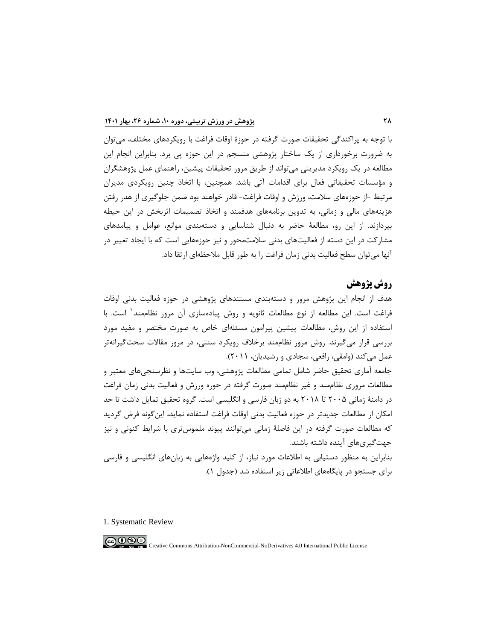با توجه به پراکندگی تحقیقات صورت گرفته در حوزة اوقات فراغت با رویکردهاي مختلف، میتوان به ضرورت برخورداري از یک ساختار پژوهشی منسجم در این حوزه پی برد. بنابراین انجام این مطالعه در یک رویکرد مدیریتی میتواند از طریق مرور تحقیقات پیشین، راهنماي عمل پژوهشگران و مؤسسات تحقیقاتی فعال براي اقدامات آتی باشد. همچنین، با اتخاذ چنین رویکردي مدیران مرتبط -از حوزههاي سلامت، ورزش و اوقات فراغت- قادر خواهند بود ضمن جلوگیري از هدر رفتن هزینههاي مالی و زمانی، به تدوین برنامههاي هدفمند و اتخاذ تصمیمات اثربخش در این حیطه بپردازند. از این رو، مطالعۀ حاضر به دنبال شناسایی و دستهبندي موانع، عوامل و پیامدهاي مشارکت در این دسته از فعالیتهاي بدنی سلامتمحور و نیز حوزههایی است که با ایجاد تغییر در آنها میتوان سطح فعالیت بدنی زمان فراغت را به طور قابل ملاحظهاي ارتقا داد.

## **روش پژوهش**

هدف از انجام این پژوهش مرور و دستهبندي مستندهاي پژوهشی در حوزه فعالیت بدنی اوقات فراغت است. این مطالعه از نوع مطالعات ثانویه و روش پیادهسازی آن مرور نظاممند<sup>۱</sup> است. با استفاده از این روش، مطالعات پیشین پیرامون مسئلهاي خاص به صورت مختصر و مفید مورد بررسی قرار میگیرند. روش مرور نظاممند برخلاف رویکرد سنتی، در مرور مقالات سختگیرانهتر عمل میکند (وامقی، رافعی، سجادي و رشیدیان، 2011).

جامعه آماري تحقیق حاضر شامل تمامی مطالعات پژوهشی، وب سایتها و نظرسنجیهاي معتبر و مطالعات مروري نظاممند و غیر نظاممند صورت گرفته در حوزه ورزش و فعالیت بدنی زمان فراغت در دامنۀ زمانی 2005 تا 2018 به دو زبان فارسی و انگلیسی است. گروه تحقیق تمایل داشت تا حد امکان از مطالعات جدیدتر در حوزه فعالیت بدنی اوقات فراغت استفاده نماید، اینگونه فرض گردید که مطالعات صورت گرفته در این فاصلۀ زمانی میتوانند پیوند ملموستري با شرایط کنونی و نیز جهتگیريهاي آینده داشته باشند.

بنابراین به منظور دستیابی به اطلاعات مورد نیاز، از کلید واژههایی به زبانهاي انگلیسی و فارسی براي جستجو در پایگاههاي اطلاعاتی زیر استفاده شد (جدول 1).

-

ெ⊕ Creative Commons Attribution-NonCommercial-NoDerivatives 4.0 International Public License

<span id="page-11-0"></span><sup>1.</sup> Systematic Review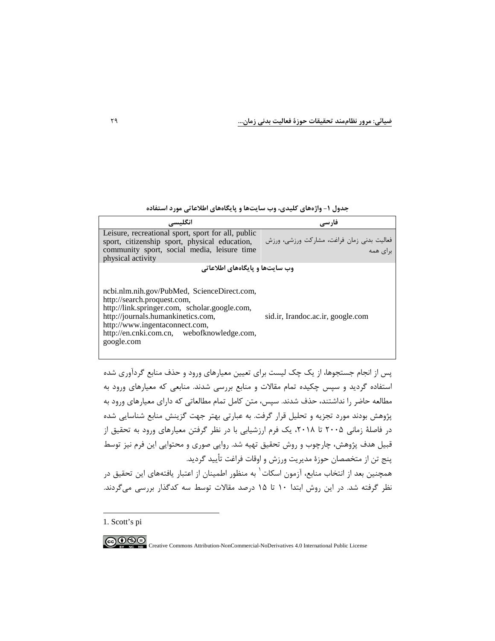**جدول -1 واژههاي کلیدي، وب سایتها و پایگاههاي اطلاعاتی مورد استفاده**

| انگلىسى                                                                                                                                                                                                                                                         | فارسى                                                 |
|-----------------------------------------------------------------------------------------------------------------------------------------------------------------------------------------------------------------------------------------------------------------|-------------------------------------------------------|
| Leisure, recreational sport, sport for all, public<br>sport, citizenship sport, physical education,<br>community sport, social media, leisure time<br>physical activity                                                                                         | فعالیت بدنی زمان فراغت، مشارکت ورزشی، ورزش<br>دای همه |
| وب سایتها و پایگاههای اطلاعاتی                                                                                                                                                                                                                                  |                                                       |
| ncbi.nlm.nih.gov/PubMed, ScienceDirect.com,<br>http://search.proquest.com,<br>http://link.springer.com, scholar.google.com,<br>http://journals.humankinetics.com,<br>http://www.ingentaconnect.com,<br>http://en.cnki.com.cn, webofknowledge.com,<br>google.com | sid.ir, Irandoc.ac.ir, google.com                     |

پس از انجام جستجوها، از یک چک لیست براي تعیین معیارهاي ورود و حذف منابع گردآوري شده استفاده گردید و سپس چکیده تمام مقالات و منابع بررسی شدند. منابعی که معیارهاي ورود به مطالعه حاضر را نداشتند، حذف شدند. سپس، متن کامل تمام مطالعاتی که داراي معیارهاي ورود به پژوهش بودند مورد تجزیه و تحلیل قرار گرفت. به عبارتی بهتر جهت گزینش منابع شناسایی شده در فاصلۀ زمانی ۲۰۰۵ تا ۲۰۱۸، یک فرم ارزشیابی با در نظر گرفتن معیارهای ورود به تحقیق از قبیل هدف پژوهش، چارچوب و روش تحقیق تهیه شد. روایی صوري و محتوایی این فرم نیز توسط پنج تن از متخصصان حوزة مدیریت ورزش و اوقات فراغت تأیید گردید. همچنین بعد از انتخاب منابع، آزمون اسکات<sup>۱</sup> به منظور اطمینان از اعتبار یافتههای این تحقیق در نظر گرفته شد. در این روش ابتدا 10 تا 15 درصد مقالات توسط سه کدگذار بررسی میگردند.

<span id="page-12-0"></span>[1.](#page-12-0) Scott's pi

-

COOSO Creative Commons Attribution-NonCommercial-NoDerivatives 4.0 International Public License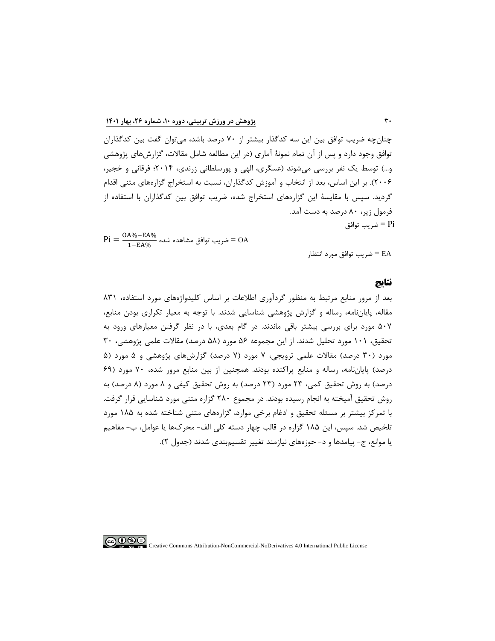چنانچه ضریب توافق بین این سه کدگذار بیشتر از 70 درصد باشد، میتوان گفت بین کدگذاران توافق وجود دارد و پس از آن تمام نمونۀ آماري (در این مطالعه شامل مقالات، گزارشهاي پژوهشی و...) توسط یک نفر بررسی میشوند (عسگري، الهی و پورسلطانی زرندي، 2014؛ فرقانی و خجیر، 2006). بر این اساس، بعد از انتخاب و آموزش کدگذاران، نسبت به استخراج گزارههاي متنی اقدام گردید. سپس با مقایسۀ این گزارههاي استخراج شده، ضریب توافق بین کدگذاران با استفاده از فرمول زیر، 80 درصد به دست آمد.  $=$   $Pi$  ضریب توافق  $=$  Pi

 $\text{Pi} = \frac{\text{OA}\%-\text{EA}\%}{1-\text{EA}\%}$  ضریب توافق مشاهده شده $\text{OA}$ 

EA = ضریب توافق مورد انتظار

#### **نتایج**

بعد از مرور منابع مرتبط به منظور گردآوري اطلاعات بر اساس کلیدواژههاي مورد استفاده، 831 مقاله، پایاننامه، رساله و گزارش پژوهشی شناسایی شدند. با توجه به معیار تکراري بودن منابع، 507 مورد براي بررسی بیشتر باقی ماندند. در گام بعدي، با در نظر گرفتن معیارهاي ورود به تحقیق، 101 مورد تحلیل شدند. از این مجموعه 56 مورد (58 درصد) مقالات علمی پژوهشی، 30 مورد (30 درصد) مقالات علمی ترویجی، 7 مورد (7 درصد) گزارشهاي پژوهشی و 5 مورد (5 درصد) پایاننامه، رساله و منابع پراکنده بودند. همچنین از بین منابع مرور شده، 70 مورد (69 درصد) به روش تحقیق کمی، 23 مورد (23 درصد) به روش تحقیق کیفی و 8 مورد (8 درصد) به روش تحقیق آمیخته به انجام رسیده بودند. در مجموع 280 گزاره متنی مورد شناسایی قرار گرفت. با تمرکز بیشتر بر مسئله تحقیق و ادغام برخی موارد، گزارههاي متنی شناخته شده به 185 مورد تلخیص شد. سپس، این 185 گزاره در قالب چهار دسته کلی الف- محركها یا عوامل، ب- مفاهیم یا موانع، ج- پیامدها و د- حوزههاي نیازمند تغییر تقسیمبندي شدند (جدول 2).

ெ⊕

Creative Commons Attribution-NonCommercial-NoDerivatives 4.0 International Public License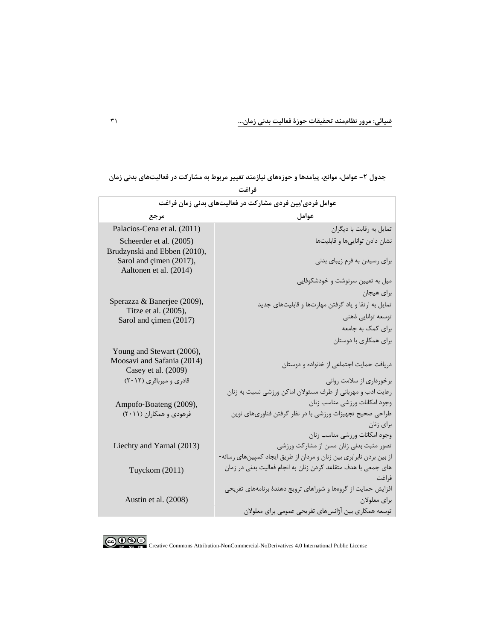| عوامل فردی/بین فردی مشارکت در فعالیتهای بدنی زمان فراغت |                                                                        |
|---------------------------------------------------------|------------------------------------------------------------------------|
| مرجع                                                    | عوامل                                                                  |
| Palacios-Cena et al. (2011)                             | تمایل به رقابت با دیگران                                               |
| Scheerder et al. (2005)                                 | نشان دادن توانايى ها و قابليتها                                        |
| Brudzynski and Ebben (2010),<br>Sarol and çimen (2017), | برای رسیدن به فرم زیبای بدنی                                           |
| Aaltonen et al. (2014)                                  |                                                                        |
|                                                         | میل به تعیین سرنوشت و خودشکوفایی                                       |
|                                                         | براي هيجان                                                             |
| Sperazza & Banerjee (2009),<br>Titze et al. (2005),     | تمایل به ارتقا و یاد گرفتن مهارتها و قابلیتهای جدید                    |
| Sarol and çimen (2017)                                  | توسعه توانايي ذهني                                                     |
|                                                         | برای کمک به جامعه                                                      |
|                                                         | برای همکاری با دوستان                                                  |
| Young and Stewart (2006),                               |                                                                        |
| Moosavi and Safania (2014)<br>Casey et al. (2009)       | دریافت حمایت اجتماعی از خانواده و دوستان                               |
| قادری و میرباقری (۲۰۱۲)                                 | برخورداری از سلامت روانی                                               |
|                                                         | رعایت ادب و مهربانی از طرف مسئولان اماکن ورزشی نسبت به زنان            |
| Ampofo-Boateng (2009),                                  | وجود امكانات ورزشى مناسب زنان                                          |
| فرهودی و همکاران (۲۰۱۱)                                 | طراحی صحیح تجهیزات ورزشی با در نظر گرفتن فناوریهای نوین                |
|                                                         | برای زنان                                                              |
|                                                         | وجود امكانات ورزشى مناسب زنان                                          |
| Liechty and Yarnal (2013)                               | تصور مثبت بدنی زنان مسن از مشارکت ورزشی                                |
|                                                         | از بین بردن نابرابری بین زنان و مردان از طریق ایجاد کمپینهای رسانه-    |
| Tuyckom (2011)                                          | های جمعی با هدف متقاعد کردن زنان به انجام فعالیت بدنی در زمان<br>فراغت |
|                                                         | افزایش حمایت از گروهها و شوراهای ترویج دهندهٔ برنامههای تفریحی         |
| Austin et al. (2008)                                    | براي معلولان                                                           |
|                                                         | توسعه همکاری بین آژانسهای تفریحی عمومی برای معلولان                    |

جدول ۲- عوامل، موانع، پیامدها و حوزههای نیازمند تغییر مربوط به مشارکت در فعالیتهای بدنی زمان **فراغت**

COOCO Creative Commons Attribution-NonCommercial-NoDerivatives 4.0 International Public License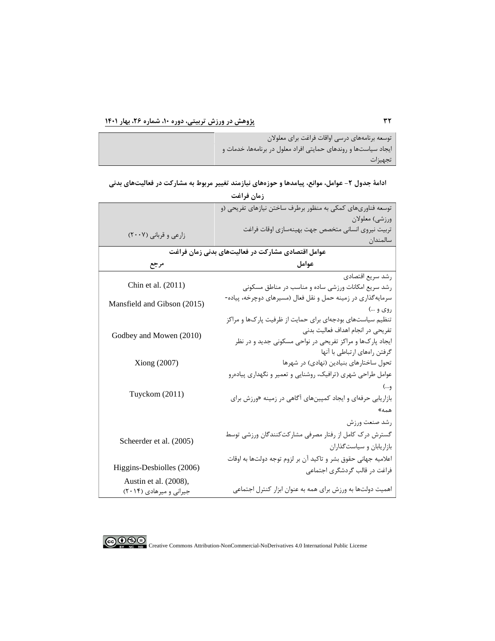توسعه برنامههاي درسی اواقات فراغت براي معلولان ایجاد سیاستها و روندهاي حمایتی افراد معلول در برنامهها، خدمات و تجهیزات

**ادامۀ جدول -2 عوامل، موانع، پیامدها و حوزههاي نیازمند تغییر مربوط به مشارکت در فعالیتهاي بدنی** 

| زمان فراغت                  |                                                                |  |
|-----------------------------|----------------------------------------------------------------|--|
|                             | توسعه فناوریهای کمکی به منظور برطرف ساختن نیازهای تفریحی (و    |  |
|                             | ورزشي) معلولان                                                 |  |
| زارعی و قربانی (۲۰۰۷)       | تربيت نيروى انسانى متخصص جهت بهينهسازى اوقات فراغت             |  |
|                             | سالمندان                                                       |  |
|                             | عوامل اقتصادی مشارکت در فعالیتهای بدنی زمان فراغت              |  |
| مرجع                        | عوامل                                                          |  |
|                             | رشد سريع اقتصادي                                               |  |
| Chin et al. (2011)          | رشد سریع امکانات ورزشی ساده و مناسب در مناطق مسکونی            |  |
| Mansfield and Gibson (2015) | سرمایهگذاری در زمینه حمل و نقل فعال (مسیرهای دوچرخه، پیاده-    |  |
|                             | روي و …)                                                       |  |
|                             | تنظیم سیاستهای بودجهای برای حمایت از ظرفیت پارکها و مراکز      |  |
| Godbey and Mowen (2010)     | تفریحی در انجام اهداف فعالیت بدنی                              |  |
|                             | ایجاد پارکها و مراکز تفریحی در نواحی مسکونی جدید و در نظر      |  |
|                             | گرفتن راههای ارتباطی با آنها                                   |  |
| Xiong (2007)                | تحول ساختارهای بنیادین (نهادی) در شهرها                        |  |
|                             | عوامل طراحی شهری (ترافیک، روشنایی و تعمیر و نگهداری پیادهرو    |  |
|                             | و…)                                                            |  |
| Tuyckom (2011)              | بازاریابی حرفهای و ایجاد کمپینهای آگاهی در زمینه «ورزش برای    |  |
|                             | همه»                                                           |  |
|                             | رشد صنعت ورزش                                                  |  |
|                             | گسترش درک کامل از رفتار مصرفی مشارکتکنندگان ورزشی توسط         |  |
| Scheerder et al. (2005)     | بازاریابان و سیاستگذاران                                       |  |
|                             | اعلامیه جهانی حقوق بشر و تاکید آن بر لزوم توجه دولتها به اوقات |  |
| Higgins-Desbiolles (2006)   | فراغت در قالب گردشگری اجتماعی                                  |  |
| Austin et al. (2008),       |                                                                |  |
| جیرانی و میرهادی (۲۰۱۴)     | اهمیت دولتها به ورزش برای همه به عنوان ابزار کنترل اجتماعی     |  |
|                             |                                                                |  |

COOCO Creative Commons Attribution-NonCommercial-NoDerivatives 4.0 International Public License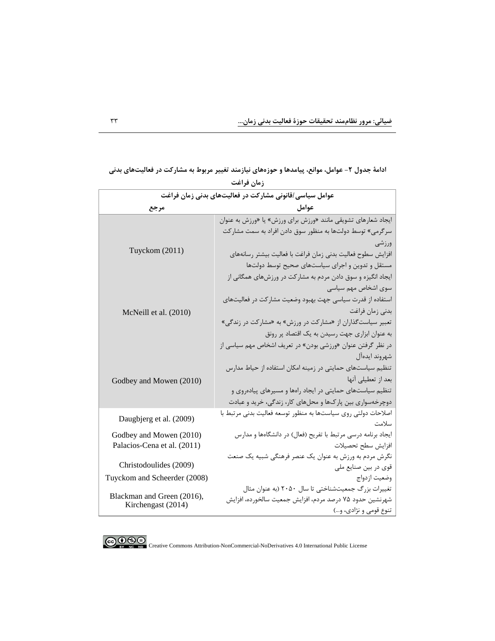| عوامل سیاسی/قانونی مشارکت در فعالیتهای بدنی زمان فراغت |                                                                                    |
|--------------------------------------------------------|------------------------------------------------------------------------------------|
| مرجع                                                   | عوامل                                                                              |
|                                                        | ایجاد شعارهای تشویقی مانند «ورزش برای ورزش» یا «ورزش به عنوان                      |
|                                                        | سرگرمی» توسط دولتها به منظور سوق دادن افراد به سمت مشاركت                          |
|                                                        | ورزشى                                                                              |
| Tuyckom (2011)                                         | افزايش سطوح فعاليت بدنى زمان فراغت با فعاليت بيشتر رسانههاى                        |
|                                                        | مستقل و تدوین و اجرای سیاستهای صحیح توسط دولتها                                    |
|                                                        | ایجاد انگیزه و سوق دادن مردم به مشارکت در ورزشهای همگانی از                        |
|                                                        | سوی اشخاص مهم سیاسی                                                                |
|                                                        | استفاده از قدرت سیاسی جهت بهبود وضعیت مشارکت در فعالیتهای                          |
| McNeill et al. (2010)                                  | بدنی زمان فراغت                                                                    |
|                                                        | تعبیر سیاست گذاران از «مشارکت در ورزش» به «مشارکت در زندگی»                        |
|                                                        | به عنوان ابزاری جهت رسیدن به یک اقتصاد پر رونق                                     |
|                                                        | در نظر گرفتن عنوان «ورزشي بودن» در تعريف اشخاص مهم سياسي از                        |
|                                                        | شهروند ايدهآل                                                                      |
|                                                        | تنظیم سیاستهای حمایتی در زمینه امکان استفاده از حیاط مدارس                         |
| Godbey and Mowen (2010)                                | بعد از تعطیلی آنها                                                                 |
|                                                        | تنظیم سیاستهای حمایتی در ایجاد راهها و مسیرهای پیادهروی و                          |
|                                                        | دوچرخهسواری بین پارکها و محلهای کار، زندگی، خرید و عبادت                           |
| Daugbjerg et al. (2009)                                | اصلاحات دولتی روی سیاستها به منظور توسعه فعالیت بدنی مرتبط با                      |
|                                                        | سلامت                                                                              |
| Godbey and Mowen (2010)                                | ایجاد برنامه درسی مرتبط با تفریح (فعال) در دانشگاهها و مدارس                       |
| Palacios-Cena et al. (2011)                            | افزايش سطح تحصيلات                                                                 |
| Christodoulides (2009)                                 | نگرش مردم به ورزش به عنوان یک عنصر فرهنگی شبیه یک صنعت                             |
|                                                        | قوی در بین صنایع ملی                                                               |
| Tuyckom and Scheerder (2008)                           | وضعيت ازدواج                                                                       |
| Blackman and Green (2016),                             | تغییرات بزرگ جمعیتشناختی تا سال ۲۰۵۰ (به عنوان مثال                                |
| Kirchengast (2014)                                     | شهرنشين حدود ٧۵ درصد مردم، افزايش جمعيت سالخورده، افزايش<br>تنوع قومي و نژادي، و…) |
|                                                        |                                                                                    |

ادامۀ جدول ٢- عوامل، موانع، پیامدها و حوزههای نیازمند تغییر مربوط به مشارکت در فعالیتهای بدنی **زمان فراغت**



COOCO EX NO Creative Commons Attribution-NonCommercial-NoDerivatives 4.0 International Public License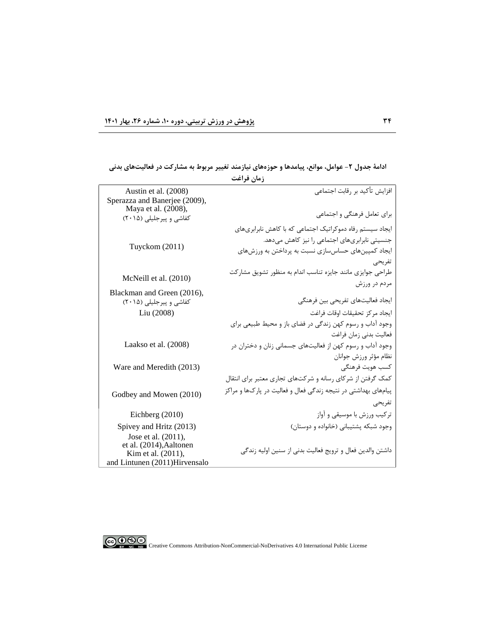|                                                                                | زمان فراغت                                                     |
|--------------------------------------------------------------------------------|----------------------------------------------------------------|
| Austin et al. (2008)<br>Sperazza and Banerjee (2009),                          | افزایش تأكید بر رقابت اجتماعی                                  |
| Maya et al. (2008),<br>کفاشی و پیرجلیلی (۲۰۱۵)                                 | برای تعامل فرهنگی و اجتماعی                                    |
|                                                                                | ایجاد سیستم رفاه دموکراتیک اجتماعی که با کاهش نابرابریهای      |
|                                                                                | جنسیتی نابرابریهای اجتماعی را نیز کاهش میدهد.                  |
| Tuyckom (2011)                                                                 | ایجاد کمپینهای حساسسازی نسبت به پرداختن به ورزشهای             |
|                                                                                | تفريحي                                                         |
| McNeill et al. (2010)                                                          | طراحی جوایزی مانند جایزه تناسب اندام به منظور تشویق مشارکت     |
|                                                                                | مردم در ورزش                                                   |
| Blackman and Green (2016),<br>کفاشی و پیرجلیلی (۲۰۱۵)                          | ايجاد فعاليتهاي تفريحي بين فرهنگي                              |
| Liu (2008)                                                                     | ايجاد مركز تحقيقات اوقات فراغت                                 |
|                                                                                | وجود آداب و رسوم کهن زندگی در فضای باز و محیط طبیعی برای       |
|                                                                                | فعاليت بدني زمان فراغت                                         |
| Laakso et al. (2008)                                                           | وجود آداب و رسوم کهن از فعالیتهای جسمانی زنان و دختران در      |
|                                                                                | نظام مؤثر ورزش جوانان                                          |
| Ware and Meredith (2013)                                                       | كسب هويت فرهنگى                                                |
|                                                                                | کمک گرفتن از شرکای رسانه و شرکتهای تجاری معتبر برای انتقال     |
| Godbey and Mowen (2010)                                                        | پیامهای بهداشتی در نتیجه زندگی فعال و فعالیت در پارکها و مراکز |
|                                                                                | تفريحي                                                         |
| Eichberg $(2010)$                                                              | ترکیب ورزش با موسیقی و آواز                                    |
| Spivey and Hritz (2013)                                                        | وجود شبکه پشتیبانی (خانواده و دوستان)                          |
| Jose et al. (2011),                                                            |                                                                |
| et al. (2014), Aaltonen<br>Kim et al. (2011),<br>and Lintunen (2011)Hirvensalo | داشتن والدين فعال و ترويج فعاليت بدني از سنين اوليه زندگي      |

**ادامۀ جدول -2 عوامل، موانع، پیامدها و حوزههاي نیازمند تغییر مربوط به مشارکت در فعالیتهاي بدنی** 



COOCO EX NO Creative Commons Attribution-NonCommercial-NoDerivatives 4.0 International Public License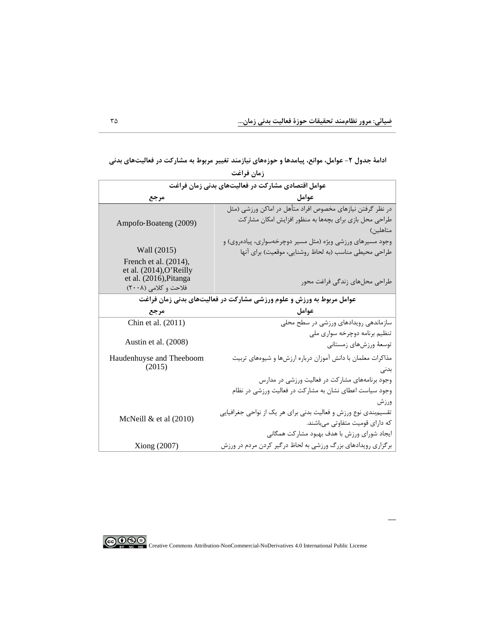**ادامۀ جدول -2 عوامل، موانع، پیامدها و حوزههاي نیازمند تغییر مربوط به مشارکت در فعالیتهاي بدنی زمان فراغت**

| زمان قراعت                                                           |                                                                 |
|----------------------------------------------------------------------|-----------------------------------------------------------------|
| عوامل اقتصادی مشارکت در فعالیتهای بدنی زمان فراغت                    |                                                                 |
| مرجع                                                                 | عوامل                                                           |
|                                                                      | در نظر گرفتن نیازهای مخصوص افراد متأهل در اماکن ورزشی (مثل      |
| Ampofo-Boateng (2009)                                                | طراحی محل بازی برای بچهها به منظور افزایش امکان مشارکت          |
|                                                                      | متاهلین)                                                        |
|                                                                      | وجود مسیرهای ورزشی ویژه (مثل مسیر دوچرخهسواری، پیادهروی) و      |
| Wall (2015)                                                          | طراحی محیطی مناسب (به لحاظ روشنایی، موقعیت) برای آنها           |
| French et al. $(2014)$ ,                                             |                                                                 |
| et al. $(2014)$ , O'Reilly<br>et al. (2016), Pitanga                 |                                                                 |
| فلاحت و كلامي (٢٠٠٨)                                                 | طراحی محلهای زندگی فراغت محور                                   |
| عوامل مربوط به ورزش و علوم ورزشی مشارکت در فعالیتهای بدنی زمان فراغت |                                                                 |
| مرجع                                                                 | عوامل                                                           |
| Chin et al. (2011)                                                   | سازماندهی رویدادهای ورزشی در سطح محلی                           |
|                                                                      | تنظیم برنامه دوچرخه سواری ملی                                   |
| Austin et al. (2008)                                                 | توسعهٔ ورزشهای زمستانی                                          |
|                                                                      | مذاکرات معلمان با دانش آموزان درباره ارزشها و شیوههای تربیت     |
| Haudenhuyse and Theeboom<br>(2015)                                   | بدنی                                                            |
|                                                                      |                                                                 |
|                                                                      | وجود برنامههای مشارکت در فعالیت ورزشی در مدارس                  |
|                                                                      | وجود سیاست اعطای نشان به مشارکت در فعالیت ورزشی در نظام         |
|                                                                      | ورزش                                                            |
| McNeill $&$ et al $(2010)$                                           | تقسیمٖبندی نوع ورزش و فعالیت بدنی برای هر یک از نواحی جغرافیایی |
|                                                                      | که دارای قومیت متفاوتی میباشند.                                 |
|                                                                      | ایجاد شورای ورزش با هدف بهبود مشارکت همگانی                     |
| Xiong (2007)                                                         | برگزاری رویدادهای بزرگ ورزشی به لحاظ درگیر کردن مردم در ورزش    |

CO O SO Creative Commons Attribution-NonCommercial-NoDerivatives 4.0 International Public License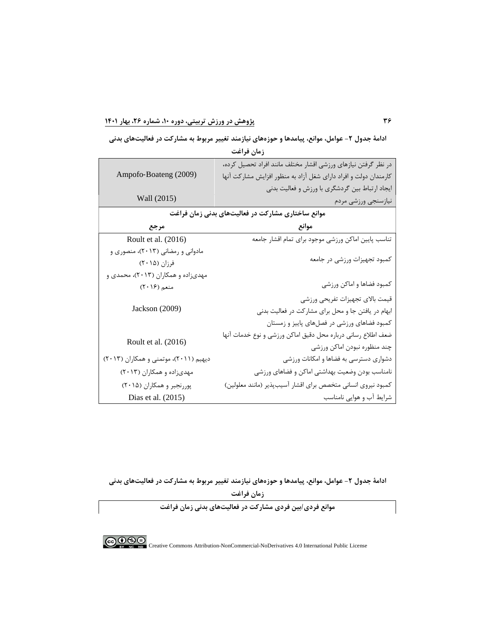**ادامۀ جدول -2 عوامل، موانع، پیامدها و حوزههاي نیازمند تغییر مربوط به مشارکت در فعالیتهاي بدنی** 

|                                       | در نظر گرفتن نیازهای ورزشی اقشار مختلف مانند افراد تحصیل کرده،   |
|---------------------------------------|------------------------------------------------------------------|
| Ampofo-Boateng (2009)                 | کارمندان دولت و افراد دارای شغل آزاد به منظور افزایش مشارکت آنها |
|                                       | ایجاد ارتباط بین گردشگری با ورزش و فعالیت بدنی                   |
| Wall (2015)                           | نيازسنجي ورزشي مردم                                              |
|                                       | موانع ساختاری مشارکت در فعالیتهای بدنی زمان فراغت                |
| مرجع                                  | موانع                                                            |
| Roult et al. (2016)                   | تناسب پایین اماکن ورزشی موجود برای تمام اقشار جامعه              |
| مادوانی و رمضانی (۲۰۱۳)، منصوری و     |                                                                  |
| فرزان (۲۰۱۵)                          | كمبود تجهيزات ورزشى در جامعه                                     |
| مهدیزاده و همکاران (۲۰۱۳)، محمدی و    |                                                                  |
| منعم (۲۰۱۶)                           | كمبود فضاها و اماكن ورزشى                                        |
|                                       | قيمت بالاي تجهيزات تفريحي ورزشي                                  |
| Jackson (2009)                        | ابهام در یافتن جا و محل برای مشارکت در فعالیت بدنی               |
|                                       | کمبود فضاهای ورزشی در فصلهای پاییز و زمستان                      |
|                                       | ضعف اطلاع رساني درباره محل دقيق اماكن ورزشي و نوع خدمات آنها     |
| Roult et al. (2016)                   | چند منظوره نبودن اماكن ورزشى                                     |
| دیهیم (۲۰۱۱)، موتمنی و همکاران (۲۰۱۳) | دشواری دسترسی به فضاها و امکانات ورزشی                           |
| مهدیزاده و همکاران (۲۰۱۳)             | نامناسب بودن وضعيت بهداشتي اماكن و فضاهاى ورزشى                  |
| پوررنجبر و همکاران (۲۰۱۵)             | كمبود نيروي انساني متخصص براي اقشار أسيبپذير (مانند معلولين)     |
| Dias et al. (2015)                    | شرایط آب و هوایی نامناسب                                         |

**زمان فراغت**

**ادامۀ جدول -2 عوامل، موانع، پیامدها و حوزههاي نیازمند تغییر مربوط به مشارکت در فعالیتهاي بدنی** 

**زمان فراغت**

**موانع فردي/بین فردي مشارکت در فعالیتهاي بدنی زمان فراغت**

COOCO Creative Commons Attribution-NonCommercial-NoDerivatives 4.0 International Public License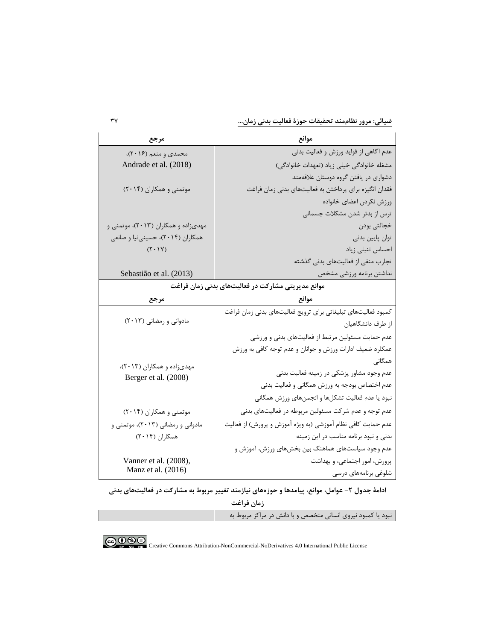**ضیائی: مرور نظاممند تحقیقات حوزة فعالیت بدنی زمان...** 37

| مرجع                                              | موانع                                                         |
|---------------------------------------------------|---------------------------------------------------------------|
| محمدی و منعم (۲۰۱۶)،                              | عدم آگاهی از فواید ورزش و فعالیت بدنی                         |
| Andrade et al. (2018)                             | مشغله خانوادگی خیلی زیاد (تعهدات خانوادگی)                    |
|                                                   | دشواری در یافتن گروه دوستان علاقهمند                          |
| موتمنی و همکاران (۲۰۱۴)                           | فقدان انگیزه برای پرداختن به فعالیتهای بدنی زمان فراغت        |
|                                                   | ورزش نكردن اعضاى خانواده                                      |
|                                                   | ترس از بدتر شدن مشکلات جسمانی                                 |
| مهدیزاده و همکاران (۲۰۱۳)، موتمنی و               | خجالتي بودن                                                   |
| همکاران (۲۰۱۴)، حسینینیا و صانعی                  | توان پایین بدنی                                               |
| $(Y \cdot Y)$                                     | احساس تنبلى زياد                                              |
|                                                   | تجارب منفی از فعالیتهای بدنی گذشته                            |
| Sebastião et al. (2013)                           | نداشتن برنامه ورزشي مشخص                                      |
| موانع مدیریتی مشارکت در فعالیتهای بدنی زمان فراغت |                                                               |
| مرجع                                              | موانع                                                         |
|                                                   | كمبود فعاليتهاى تبليغاتي براي ترويج فعاليتهاى بدني زمان فراغت |
| مادوانی و رمضانی (۲۰۱۳)                           | از طرف دانشگاهیان                                             |
|                                                   | عدم حمایت مسئولین مرتبط از فعالیتهای بدنی و ورزشی             |
|                                                   | عمکلرد ضعیف ادارات ورزش و جوانان و عدم توجه کافی به ورزش      |
| مهدیزاده و همکاران (۲۰۱۳)،                        | همگانی                                                        |
| Berger et al. (2008)                              | عدم وجود مشاور پزشکی در زمینه فعالیت بدنی                     |
|                                                   | عدم اختصاص بودجه به ورزش همگانی و فعالیت بدنی                 |
|                                                   | نبود یا عدم فعالیت تشکلها و انجمنهای ورزش همگانی              |
| موتمنی و همکاران (۲۰۱۴)                           | عدم توجه و عدم شرکت مسئولین مربوطه در فعالیتهای بدنی          |
| مادوانی و رمضانی (۲۰۱۳)، موتمنی و                 | عدم حمایت کافی نظام آموزشی (به ویژه آموزش و پرورش) از فعالیت  |
| همکاران (۲۰۱۴)                                    | بدنی و نبود برنامه مناسب در این زمینه                         |
|                                                   | عدم وجود سیاستهای هماهنگ بین بخشهای ورزش، آموزش و             |
| Vanner et al. (2008),                             | پرورش، امور اجتماعی، و بهداشت                                 |
| Manz et al. (2016)                                | شلوغی برنامههای درسی                                          |

ادامۀ جدول ۲- عوامل، موانع، پیامدها و حوزههای نیازمند تغییر مربوط به مشارکت در فعالیتهای بدنی

**زمان فراغت**

نبود یا کمبود نیروي انسانی متخصص و با دانش در مراکز مربوط به

COOCO EXTREMENTATION-NonCommercial-NoDerivatives 4.0 International Public License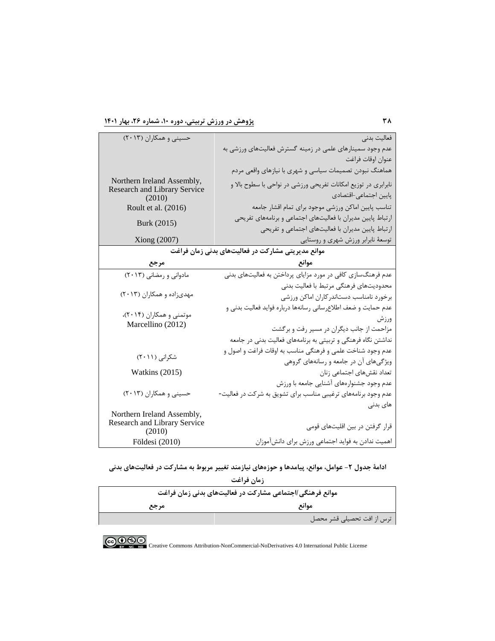| حسینی و همکاران (۲۰۱۳)                            | فعاليت بدني                                                    |  |
|---------------------------------------------------|----------------------------------------------------------------|--|
|                                                   | عدم وجود سمینارهای علمی در زمینه گسترش فعالیتهای ورزشی به      |  |
|                                                   | عنوان اوقات فراغت                                              |  |
|                                                   | هماهنگ نبودن تصميمات سياسي و شهري با نيازهاي واقعي مردم        |  |
| Northern Ireland Assembly,                        | نابرابری در توزیع امکانات تفریحی ورزشی در نواحی با سطوح بالا و |  |
| Research and Library Service<br>(2010)            | پایین اجتماعی-اقتصادی                                          |  |
| Roult et al. (2016)                               | تناسب پایین اماکن ورزشی موجود برای تمام اقشار جامعه            |  |
| Burk (2015)                                       | ارتباط پایین مدیران با فعالیتهای اجتماعی و برنامههای تفریحی    |  |
|                                                   | ارتباط پایین مدیران با فعالیتهای اجتماعی و تفریحی              |  |
| Xiong (2007)                                      | توسعهٔ نابرابر ورزش شهری و روستایی                             |  |
| موانع مدیریتی مشارکت در فعالیتهای بدنی زمان فراغت |                                                                |  |
| مرجع                                              | موانع                                                          |  |
| مادوانی و رمضانی (۲۰۱۳)                           | عدم فرهنگسازی کافی در مورد مزایای پرداختن به فعالیتهای بدنی    |  |
|                                                   | محدوديتهاى فرهنگى مرتبط با فعاليت بدنى                         |  |
| مهدیزاده و همکاران (۲۰۱۳)                         | برخورد نامناسب دستاندركاران اماكن ورزشى                        |  |
|                                                   | عدم حمایت و ضعف اطلاعرسانی رسانهها درباره فواید فعالیت بدنی و  |  |
| موتمنی و همکاران (۲۰۱۴)،                          | ورزش                                                           |  |
| Marcellino (2012)                                 | مزاحمت از جانب دیگران در مسیر رفت و برگشت                      |  |
|                                                   | نداشتن نگاه فرهنگی و تربیتی به برنامههای فعالیت بدنی در جامعه  |  |
| شکرانی (۲۰۱۱)                                     | عدم وجود شناخت علمی و فرهنگی مناسب به اوقات فراغت و اصول و     |  |
|                                                   | ویژگیهای آن در جامعه و رسانههای گروهی                          |  |
| <b>Watkins</b> (2015)                             | تعداد نقشهای اجتماعی زنان                                      |  |
|                                                   | عدم وجود جشنوارههای آشنایی جامعه با ورزش                       |  |
| حسینی و همکاران (۲۰۱۳)                            | عدم وجود برنامههای ترغیبی مناسب برای تشویق به شرکت در فعالیت-  |  |
|                                                   | های بدنی                                                       |  |
| Northern Ireland Assembly,                        |                                                                |  |
| Research and Library Service<br>(2010)            | قرار گرفتن در بین اقلیتهای قومی                                |  |
| Földesi (2010)                                    | اهمیت ندادن به فواید اجتماعی ورزش برای دانشآموزان              |  |

ادامۀ جدول **۲- عوامل، موانع، پیامدها و حوزههای نیازمند تغییر مربوط به مشارکت در فعالیتهای بدنی** 

| زمان فراغت                                               |                            |
|----------------------------------------------------------|----------------------------|
| موانع فرهنگی/اجتماعی مشارکت در فعالیتهای بدنی زمان فراغت |                            |
| مرجع                                                     | موانع                      |
|                                                          | ترس از افت تحصیلی قشر محصل |

COOCO EX NO Creative Commons Attribution-NonCommercial-NoDerivatives 4.0 International Public License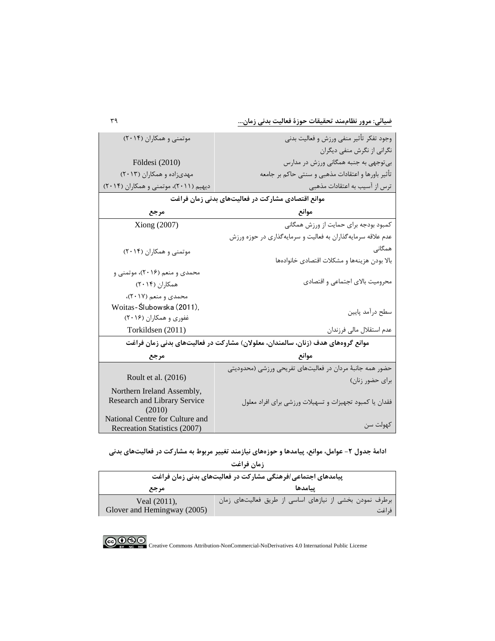**ضیائی: مرور نظاممند تحقیقات حوزة فعالیت بدنی زمان...** 39

| موتمنی و همکاران (۲۰۱۴)                                                         | وجود تفكر تأثير منفى ورزش و فعاليت بدنى                     |
|---------------------------------------------------------------------------------|-------------------------------------------------------------|
|                                                                                 | نگرانی از نگرش منفی دیگران                                  |
| Földesi (2010)                                                                  | بی توجهی به جنبه همگانی ورزش در مدارس                       |
| مهدیزاده و همکاران (۲۰۱۳)                                                       | تأثير باورها و اعتقادات مذهبي و سنتي حاكم بر جامعه          |
| دیهیم (۲۰۱۱)، موتمنی و همکاران (۲۰۱۴)                                           | ترس از آسیب به اعتقادات مذهبی                               |
|                                                                                 | موانع اقتصادی مشارکت در فعالیتهای بدنی زمان فراغت           |
| مرجع                                                                            | موانع                                                       |
| Xiong (2007)                                                                    | کمبود بودجه برای حمایت از ورزش همگانی                       |
|                                                                                 | عدم علاقه سرمایهگذاران به فعالیت و سرمایهگذاری در حوزه ورزش |
| موتمنی و همکاران (۲۰۱۴)                                                         | همگانے                                                      |
|                                                                                 | بالا بودن هزينهها و مشكلات اقتصادى خانوادهها                |
| محمدی و منعم (۲۰۱۶)، موتمنی و                                                   |                                                             |
| همکاران (۲۰۱۴)                                                                  | محرومیت بالای اجتماعی و اقتصادی                             |
| محمدي و منعم (٢٠١٧)،                                                            |                                                             |
| Woitas-Ślubowska (2011),                                                        | سطح درأمد پايين                                             |
| غفوری و همکاران (۲۰۱۶)                                                          |                                                             |
| Torkildsen (2011)                                                               | عدم استقلال مالي فرزندان                                    |
| موانع گروههای هدف (زنان، سالمندان، معلولان) مشارکت در فعالیتهای بدنی زمان فراغت |                                                             |
| مرجع                                                                            | موانع                                                       |
|                                                                                 | حضور همه جانبهٔ مردان در فعالیتهای تفریحی ورزشی (محدودیتی   |
| Roult et al. (2016)                                                             | برای حضور زنان)                                             |
| Northern Ireland Assembly,<br><b>Research and Library Service</b>               | فقدان یا کمبود تجهیزات و تسهیلات ورزشی برای افراد معلول     |
| (2010)                                                                          |                                                             |
| National Centre for Culture and<br>Recreation Statistics (2007)                 | كهولت سن                                                    |

**ادامۀ جدول -2 عوامل، موانع، پیامدها و حوزههاي نیازمند تغییر مربوط به مشارکت در فعالیتهاي بدنی** 

| زمان فراغت                                                  |                                                          |
|-------------------------------------------------------------|----------------------------------------------------------|
| پیامدهای اجتماعی/فرهنگی مشارکت در فعالیتهای بدنی زمان فراغت |                                                          |
| مرجع                                                        | يبامدها                                                  |
| Veal (2011),                                                | برطرف نمودن بخشی از نیازهای اساسی از طریق فعالیتهای زمان |
| Glover and Hemingway (2005)                                 | ف اغت                                                    |

COOCO Creative Commons Attribution-NonCommercial-NoDerivatives 4.0 International Public License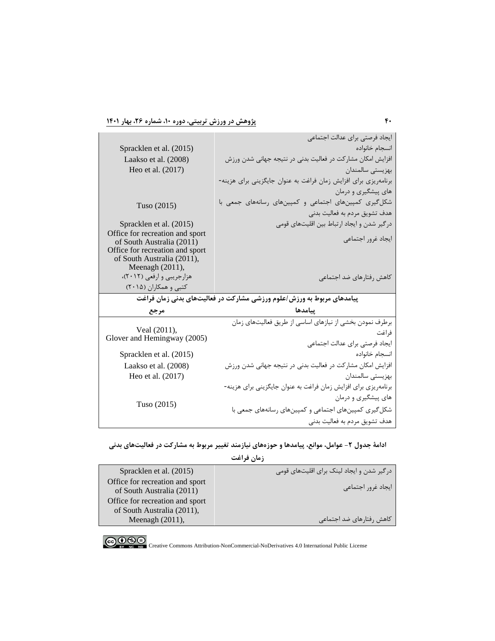|                                                               | ايجاد فرصتي براي عدالت اجتماعي                                        |
|---------------------------------------------------------------|-----------------------------------------------------------------------|
| Spracklen et al. (2015)                                       | انسجام خانواده                                                        |
| Laakso et al. (2008)                                          | افزایش امکان مشارکت در فعالیت بدنی در نتیجه جهانی شدن ورزش            |
| Heo et al. (2017)                                             | بهزيستي سالمندان                                                      |
|                                                               | برنامهریزی برای افزایش زمان فراغت به عنوان جایگزینی برای هزینه-       |
|                                                               | های پیشگیری و درمان                                                   |
| Tuso (2015)                                                   | شکل گیری کمپینهای اجتماعی و کمپینهای رسانههای جمعی با                 |
|                                                               | هدف تشويق مردم به فعاليت بدني                                         |
| Spracklen et al. (2015)                                       | درگیر شدن و ایجاد ارتباط بین اقلیتهای قومی                            |
| Office for recreation and sport                               | ايجاد غرور اجتماعي                                                    |
| of South Australia (2011)                                     |                                                                       |
| Office for recreation and sport<br>of South Australia (2011), |                                                                       |
| Meenagh (2011),                                               |                                                                       |
| هزارجریبی و ارفعی (۲۰۱۲)،                                     | كاهش رفتارهاي ضد اجتماعي                                              |
|                                                               |                                                                       |
| کتبی و همکاران (۲۰۱۵)                                         |                                                                       |
|                                                               | پیامدهای مربوط به ورزش/علوم ورزشی مشارکت در فعالیتهای بدنی زمان فراغت |
| مرجع                                                          | ينامدها                                                               |
|                                                               | برطرف نمودن بخشى از نيازهاى اساسى از طريق فعاليتهاى زمان              |
| Veal (2011),                                                  | فراغت                                                                 |
| Glover and Hemingway (2005)                                   | ايجاد فرصتي براي عدالت اجتماعي                                        |
| Spracklen et al. (2015)                                       | انسجام خانواده                                                        |
| Laakso et al. (2008)                                          | افزایش امکان مشارکت در فعالیت بدنی در نتیجه جهانی شدن ورزش            |
| Heo et al. (2017)                                             | بهزيستي سالمندان                                                      |
|                                                               | برنامهریزی برای افزایش زمان فراغت به عنوان جایگزینی برای هزینه-       |
|                                                               | های پیشگیری و درمان                                                   |
| Tuso $(2015)$                                                 | شکل گیری کمپینهای اجتماعی و کمپینهای رسانههای جمعی با                 |

**ادامۀ جدول -2 عوامل، موانع، پیامدها و حوزههاي نیازمند تغییر مربوط به مشارکت در فعالیتهاي بدنی** 

| زمان فراغت                                                    |                                           |  |
|---------------------------------------------------------------|-------------------------------------------|--|
| Spracklen et al. (2015)                                       | درگیر شدن و ایجاد لینک برای اقلیتهای قومی |  |
| Office for recreation and sport<br>of South Australia (2011)  | ایجاد غرور اجتماعی                        |  |
| Office for recreation and sport<br>of South Australia (2011), |                                           |  |
| Meenagh $(2011)$ ,                                            | كاهش رفتارهاي ضد اجتماعي                  |  |

COOCO Creative Commons Attribution-NonCommercial-NoDerivatives 4.0 International Public License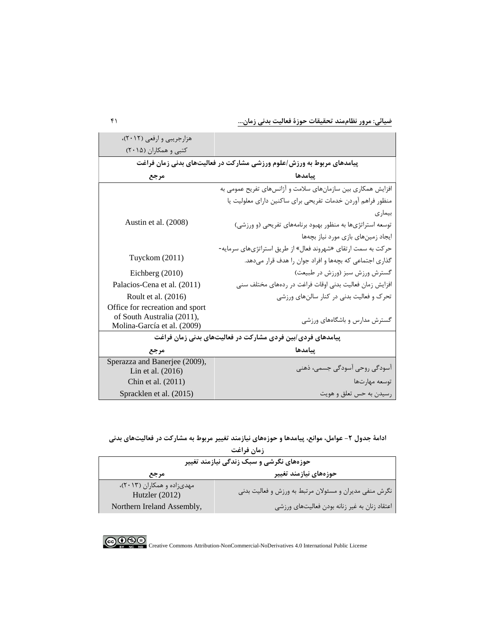**ضیائی: مرور نظاممند تحقیقات حوزة فعالیت بدنی زمان...** 41

| هزارجریبی و ارفعی (۲۰۱۲)،                                                      |                                                              |  |
|--------------------------------------------------------------------------------|--------------------------------------------------------------|--|
| کتبی و همکاران (۲۰۱۵)                                                          |                                                              |  |
| پیامدهای مربوط به ورزش <i>اع</i> لوم ورزشی مشارکت در فعالیتهای بدنی زمان فراغت |                                                              |  |
| مرجع                                                                           | ييامدها                                                      |  |
|                                                                                | افزایش همکاری بین سازمانهای سلامت و آژانسهای تفریح عمومی به  |  |
|                                                                                | منظور فراهم آوردن خدمات تفريحي براي ساكنين داراي معلوليت يا  |  |
|                                                                                | بیماری                                                       |  |
| Austin et al. (2008)                                                           | توسعه استراتژیها به منظور بهبود برنامههای تفریحی (و ورزشی)   |  |
|                                                                                | ایجاد زمینهای بازی مورد نیاز بچهها                           |  |
| Tuyckom (2011)                                                                 | حرکت به سمت ارتقای «شهروند فعال» از طریق استراتژیهای سرمایه- |  |
|                                                                                | گذاری اجتماعی که بچهها و افراد جوان را هدف قرار میدهد.       |  |
| Eichberg (2010)                                                                | گسترش ورزش سبز (ورزش در طبیعت)                               |  |
| Palacios-Cena et al. (2011)                                                    | افزایش زمان فعالیت بدنی اوقات فراغت در ردههای مختلف سنی      |  |
| Roult et al. (2016)                                                            | تحرک و فعالیت بدنی در کنار سالنهای ورزشی                     |  |
| Office for recreation and sport                                                |                                                              |  |
| of South Australia (2011),<br>Molina-García et al. (2009)                      | گسترش مدارس و باشگاههای ورزشی                                |  |
| پیامدهای فردی/بین فردی مشارکت در فعالیتهای بدنی زمان فراغت                     |                                                              |  |
| مرجع                                                                           | يبامدها                                                      |  |
| Sperazza and Banerjee (2009),                                                  |                                                              |  |
| Lin et al. $(2016)$                                                            | آسودگی روحی آسودگی جسمی، ذهنی                                |  |
| Chin et al. (2011)                                                             | توسعه مهارتها                                                |  |
| Spracklen et al. (2015)                                                        | رسیدن به حس تعلق و هویت                                      |  |

**ادامۀ جدول -2 عوامل، موانع، پیامدها و حوزههاي نیازمند تغییر مربوط به مشارکت در فعالیتهاي بدنی** 

| زمان فراغت<br>حوزههای نگرشی و سبک زندگی نیازمند تغییر |                                                        |  |
|-------------------------------------------------------|--------------------------------------------------------|--|
|                                                       |                                                        |  |
| مهدی;اده و همکاران (۲۰۱۳)،<br>Hutzler $(2012)$        | نگرش منفی مدیران و مسئولان مرتبط به ورزش و فعالیت بدنی |  |
| Northern Ireland Assembly,                            | اعتقاد زنان به غیر زنانه بودن فعالیتهای ورزشی          |  |



COOCO EX NO Creative Commons Attribution-NonCommercial-NoDerivatives 4.0 International Public License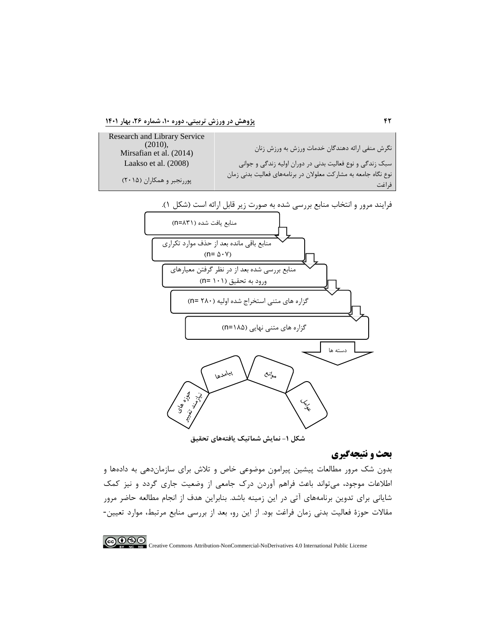**42 پژوهش در ورزش تربیتی، دوره ،10 شماره ،26 بهار 1401**





**شکل -1 نمایش شماتیک یافتههاي تحقیق**

# **بحث و نتیجهگیري**

بدون شک مرور مطالعات پیشین پیرامون موضوعی خاص و تلاش براي سازماندهی به دادهها و اطلاعات موجود، میتواند باعث فراهم آوردن درك جامعی از وضعیت جاري گردد و نیز کمک شایانی براي تدوین برنامههاي آتی در این زمینه باشد. بنابراین هدف از انجام مطالعه حاضر مرور مقالات حوزة فعالیت بدنی زمان فراغت بود. از این رو، بعد از بررسی منابع مرتبط، موارد تعیین-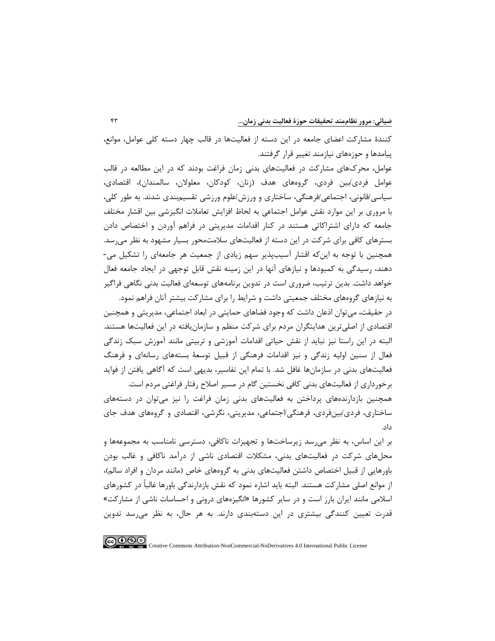کنندة مشارکت اعضاي جامعه در این دسته از فعالیتها در قالب چهار دسته کلی عوامل، موانع، پیامدها و حوزههاي نیازمند تغییر قرار گرفتند. عوامل، محركهاي مشارکت در فعالیتهاي بدنی زمان فراغت بودند که در این مطالعه در قالب عوامل فردي/بین فردي، گروههاي هدف (زنان، کودکان، معلولان، سالمندان)، اقتصادي، سیاسی/قانونی، اجتماعی/فرهنگی، ساختاري و ورزش/علوم ورزشی تقسیمبندي شدند. به طور کلی، با مروري بر این موارد نقش عوامل اجتماعی به لحاظ افزایش تعاملات انگیزشی بین اقشار مختلف جامعه که داراي اشتراکاتی هستند در کنار اقدامات مدیریتی در فراهم آوردن و اختصاص دادن بسترهاي کافی براي شرکت در این دسته از فعالیتهاي سلامتمحور بسیار مشهود به نظر میرسد.

همچنین با توجه به اینکه اقشار آسیبپذیر سهم زیادي از جمعیت هر جامعهاي را تشکیل می- دهند، رسیدگی به کمبودها و نیازهاي آنها در این زمینه نقش قابل توجهی در ایجاد جامعه فعال خواهد داشت. بدین ترتیب، ضروري است در تدوین برنامههاي توسعهاي فعالیت بدنی نگاهی فراگیر به نیازهاي گروههاي مختلف جمعیتی داشت و شرایط را براي مشارکت بیشتر آنان فراهم نمود.

در حقیقت، میتوان اذعان داشت که وجود فضاهاي حمایتی در ابعاد اجتماعی، مدیریتی و همچنین اقتصادي از اصلیترین هدایتگران مردم براي شرکت منظم و سازمانیافته در این فعالیتها هستند. البته در این راستا نیز نباید از نقش حیاتی اقدامات آموزشی و تربیتی مانند آموزش سبک زندگی فعال از سنین اولیه زندگی و نیز اقدامات فرهنگی از قبیل توسعۀ بستههاي رسانهاي و فرهنگ فعالیتهاي بدنی در سازمانها غافل شد. با تمام این تفاسیر، بدیهی است که آگاهی یافتن از فواید برخورداري از فعالیتهاي بدنی کافی نخستین گام در مسیر اصلاح رفتار فراغتی مردم است.

همچنین بازدارندههاي پرداختن به فعالیتهاي بدنی زمان فراغت را نیز میتوان در دستههاي ساختاري، فردي/بینفردي، فرهنگی/اجتماعی، مدیریتی، نگرشی، اقتصادي و گروههاي هدف جاي داد.

بر این اساس، به نظر میرسد زیرساختها و تجهیزات ناکافی، دسترسی نامناسب به مجموعهها و محلهاي شرکت در فعالیتهاي بدنی، مشکلات اقتصادي ناشی از درآمد ناکافی و غالب بودن باورهایی از قبیل اختصاص داشتن فعالیتهاي بدنی به گروههاي خاص (مانند مردان و افراد سالم)، از موانع اصلی مشارکت هستند. البته باید اشاره نمود که نقش بازدارندگی باورها غالباً در کشورهاي اسلامی مانند ایران بارز است و در سایر کشورها «انگیزههاي درونی و احساسات ناشی از مشارکت» قدرت تعیین کنندگی بیشتري در این دستهبندي دارند. به هر حال، به نظر میرسد تدوین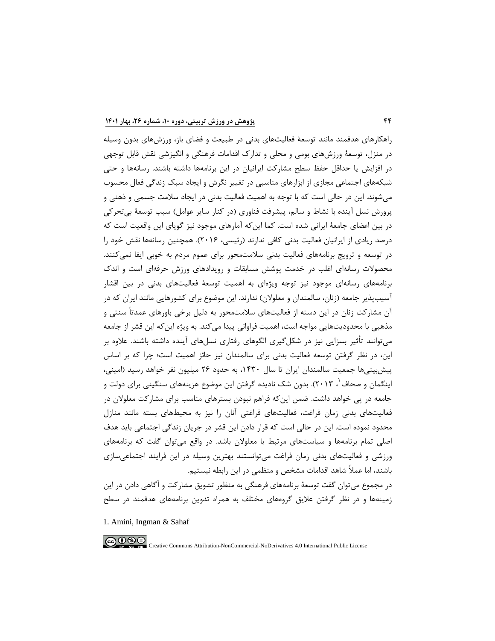راهکارهاي هدفمند مانند توسعۀ فعالیتهاي بدنی در طبیعت و فضاي باز، ورزشهاي بدون وسیله در منزل، توسعۀ ورزشهاي بومی و محلی و تدارك اقدامات فرهنگی و انگیزشی نقش قابل توجهی در افزایش یا حداقل حفظ سطح مشارکت ایرانیان در این برنامهها داشته باشند. رسانهها و حتی شبکههاي اجتماعی مجازي از ابزارهاي مناسبی در تغییر نگرش و ایجاد سبک زندگی فعال محسوب میشوند. این در حالی است که با توجه به اهمیت فعالیت بدنی در ایجاد سلامت جسمی و ذهنی و پرورش نسل آینده با نشاط و سالم، پیشرفت فناوري (در کنار سایر عوامل) سبب توسعۀ بیتحرکی در بین اعضاي جامعۀ ایرانی شده است. کما اینکه آمارهاي موجود نیز گویاي این واقعیت است که درصد زیادي از ایرانیان فعالیت بدنی کافی ندارند (رئیسی، 2016). همچنین رسانهها نقش خود را در توسعه و ترویج برنامههاي فعالیت بدنی سلامتمحور براي عموم مردم به خوبی ایفا نمیکنند. محصولات رسانهاي اغلب در خدمت پوشش مسابقات و رویدادهاي ورزش حرفهاي است و اندك برنامههاي رسانهاي موجود نیز توجه ویژهاي به اهمیت توسعۀ فعالیتهاي بدنی در بین اقشار آسیبپذیر جامعه (زنان، سالمندان و معلولان) ندارند. این موضوع براي کشورهایی مانند ایران که در آن مشارکت زنان در این دسته از فعالیتهاي سلامتمحور به دلیل برخی باورهاي عمدتاً سنتی و مذهبی با محدودیتهایی مواجه است، اهمیت فراوانی پیدا میکند. به ویژه اینکه این قشر از جامعه میتوانند تأثیر بسزایی نیز در شکلگیري الگوهاي رفتاري نسلهاي آینده داشته باشند. علاوه بر این، در نظر گرفتن توسعه فعالیت بدنی براي سالمندان نیز حائز اهمیت است؛ چرا که بر اساس پیشبینیها جمعیت سالمندان ایران تا سال ،1430 به حدود 26 میلیون نفر خواهد رسید (امینی، اینگمان و صحاف `[،](#page-27-0) ۲۰۱۳). بدون شک نادیده گرفتن این موضوع هزینههاي سنگینی براي دولت و جامعه در پی خواهد داشت. ضمن اینکه فراهم نبودن بسترهاي مناسب براي مشارکت معلولان در فعالیتهاي بدنی زمان فراغت، فعالیتهاي فراغتی آنان را نیز به محیطهاي بسته مانند منازل محدود نموده است. این در حالی است که قرار دادن این قشر در جریان زندگی اجتماعی باید هدف اصلی تمام برنامهها و سیاستهاي مرتبط با معلولان باشد. در واقع میتوان گفت که برنامههاي ورزشی و فعالیتهاي بدنی زمان فراغت میتوانستند بهترین وسیله در این فرایند اجتماعیسازي باشند، اما عملاً شاهد اقدامات مشخص و منظمی در این رابطه نیستیم.

در مجموع میتوان گفت توسعۀ برنامههاي فرهنگی به منظور تشویق مشارکت و آگاهی دادن در این زمینهها و در نظر گرفتن علایق گروههاي مختلف به همراه تدوین برنامههاي هدفمند در سطح

<span id="page-27-0"></span>1. Amini, Ingman & Sahaf

$$
\textcircled{\footnotesize{6.0}} \textcircled{\footnotesize{1}}
$$

-

Creative Commons Attribution-NonCommercial-NoDerivatives 4.0 International Public License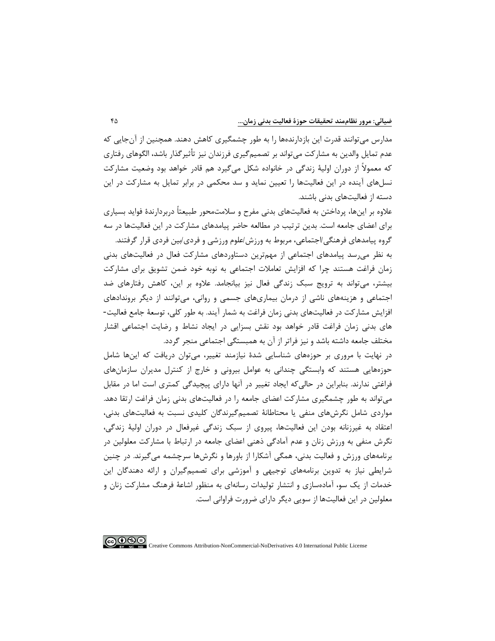مدارس میتوانند قدرت این بازدارندهها را به طور چشمگیري کاهش دهند. همچنین از آنجایی که عدم تمایل والدین به مشارکت میتواند بر تصمیمگیري فرزندان نیز تأثیرگذار باشد، الگوهاي رفتاري که معمولاً از دوران اولیۀ زندگی در خانواده شکل میگیرد هم قادر خواهد بود وضعیت مشارکت نسلهاي آینده در این فعالیتها را تعیین نماید و سد محکمی در برابر تمایل به مشارکت در این دسته از فعالیتهاي بدنی باشند.

علاوه بر اینها، پرداختن به فعالیتهاي بدنی مفرح و سلامتمحور طبیعتاً دربردارندة فواید بسیاري براي اعضاي جامعه است. بدین ترتیب در مطالعه حاضر پیامدهاي مشارکت در این فعالیتها در سه

گروه پیامدهاي فرهنگی/اجتماعی، مربوط به ورزش/علوم ورزشی و فردي/بین فردي قرار گرفتند. به نظر میرسد پیامدهاي اجتماعی از مهمترین دستاوردهاي مشارکت فعال در فعالیتهاي بدنی زمان فراغت هستند چرا که افزایش تعاملات اجتماعی به نوبه خود ضمن تشویق براي مشارکت بیشتر، میتواند به ترویج سبک زندگی فعال نیز بیانجامد. علاوه بر این، کاهش رفتارهاي ضد اجتماعی و هزینههاي ناشی از درمان بیماريهاي جسمی و روانی، میتوانند از دیگر بروندادهاي افزایش مشارکت در فعالیتهاي بدنی زمان فراغت به شمار آیند. به طور کلی، توسعۀ جامع فعالیت- هاي بدنی زمان فراغت قادر خواهد بود نقش بسزایی در ایجاد نشاط و رضایت اجتماعی اقشار مختلف جامعه داشته باشد و نیز فراتر از آن به همبستگی اجتماعی منجر گردد.

در نهایت با مروري بر حوزههاي شناسایی شدة نیازمند تغییر، میتوان دریافت که اینها شامل حوزههایی هستند که وابستگی چندانی به عوامل بیرونی و خارج از کنترل مدیران سازمانهاي فراغتی ندارند. بنابراین در حالیکه ایجاد تغییر در آنها داراي پیچیدگی کمتري است اما در مقابل میتواند به طور چشمگیري مشارکت اعضاي جامعه را در فعالیتهاي بدنی زمان فراغت ارتقا دهد. مواردي شامل نگرشهاي منفی یا محتاطانۀ تصمیمگیرندگان کلیدي نسبت به فعالیتهاي بدنی، اعتقاد به غیرزنانه بودن این فعالیتها، پیروي از سبک زندگی غیرفعال در دوران اولیۀ زندگی، نگرش منفی به ورزش زنان و عدم آمادگی ذهنی اعضاي جامعه در ارتباط با مشارکت معلولین در برنامههاي ورزش و فعالیت بدنی، همگی آشکارا از باورها و نگرشها سرچشمه میگیرند. در چنین شرایطی نیاز به تدوین برنامههاي توجیهی و آموزشی براي تصمیمگیران و ارائه دهندگان این خدمات از یک سو، آمادهسازي و انتشار تولیدات رسانهاي به منظور اشاعۀ فرهنگ مشارکت زنان و معلولین در این فعالیتها از سویی دیگر داراي ضرورت فراوانی است.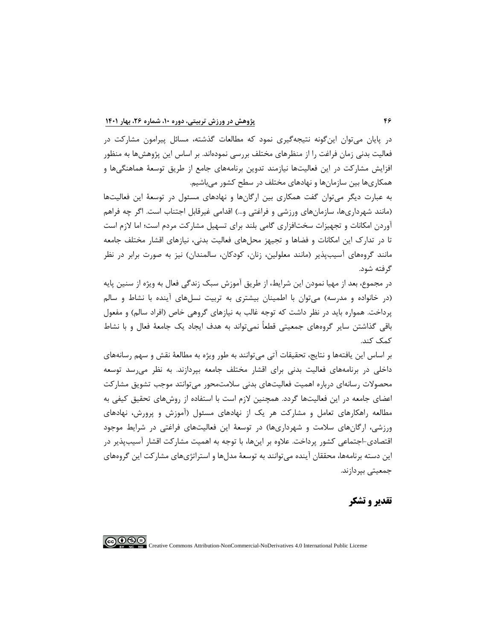در پایان میتوان اینگونه نتیجهگیري نمود که مطالعات گذشته، مسائل پیرامون مشارکت در فعالیت بدنی زمان فراغت را از منظرهاي مختلف بررسی نمودهاند. بر اساس این پژوهشها به منظور افزایش مشارکت در این فعالیتها نیازمند تدوین برنامههاي جامع از طریق توسعۀ هماهنگیها و همکاريها بین سازمانها و نهادهاي مختلف در سطح کشور میباشیم.

به عبارت دیگر میتوان گفت همکاري بین ارگانها و نهادهاي مسئول در توسعۀ این فعالیتها (مانند شهرداريها، سازمانهاي ورزشی و فراغتی و...) اقدامی غیرقابل اجتناب است. اگر چه فراهم آوردن امکانات و تجهیزات سختافزاري گامی بلند براي تسهیل مشارکت مردم است؛ اما لازم است تا در تدارك این امکانات و فضاها و تجیهز محلهاي فعالیت بدنی، نیازهاي اقشار مختلف جامعه مانند گروههاي آسیبپذیر (مانند معلولین، زنان، کودکان، سالمندان) نیز به صورت برابر در نظر گرفته شود.

در مجموع، بعد از مهیا نمودن این شرایط، از طریق آموزش سبک زندگی فعال به ویژه از سنین پایه (در خانواده و مدرسه) میتوان با اطمینان بیشتري به تربیت نسلهاي آینده با نشاط و سالم پرداخت. همواره باید در نظر داشت که توجه غالب به نیازهاي گروهی خاص (افراد سالم) و مفعول باقی گذاشتن سایر گروههاي جمعیتی قطعاً نمیتواند به هدف ایجاد یک جامعۀ فعال و با نشاط کمک کند.

بر اساس این یافتهها و نتایج، تحقیقات آتی میتوانند به طور ویژه به مطالعۀ نقش و سهم رسانههاي داخلی در برنامههاي فعالیت بدنی براي اقشار مختلف جامعه بپردازند. به نظر میرسد توسعه محصولات رسانهاي درباره اهمیت فعالیتهاي بدنی سلامتمحور میتوانتد موجب تشویق مشارکت اعضاي جامعه در این فعالیتها گردد. همچنین لازم است با استفاده از روشهاي تحقیق کیفی به مطالعه راهکارهاي تعامل و مشارکت هر یک از نهادهاي مسئول (آموزش و پرورش، نهادهاي ورزشی، ارگانهاي سلامت و شهرداريها) در توسعۀ این فعالیتهاي فراغتی در شرایط موجود اقتصادي-اجتماعی کشور پرداخت. علاوه بر اینها، با توجه به اهمیت مشارکت اقشار آسیبپذیر در این دسته برنامهها، محققان آینده میتوانند به توسعۀ مدلها و استراتژيهاي مشارکت این گروههاي جمعیتی بپردازند.

**تقدیر و تشکر**

Creative Commons Attribution-NonCommercial-NoDerivatives 4.0 International Public License

ெ⊕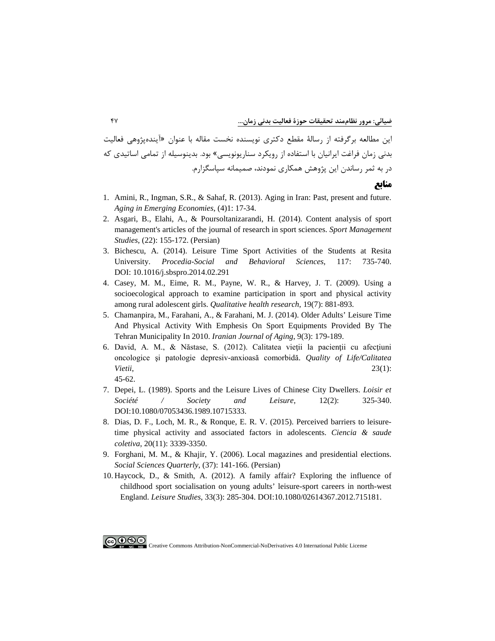این مطالعه برگرفته از رسالۀ مقطع دکتري نویسنده نخست مقاله با عنوان «آیندهپژوهی فعالیت بدنی زمان فراغت ایرانیان با استفاده از رویکرد سناریونویسی» بود. بدینوسیله از تمامی اساتیدي که در به ثمر رساندن این پژوهش همکاري نمودند، صمیمانه سپاسگزارم.

**منابع**

- 1. [Amini, R., Ingman, S.R., & Sahaf, R. \(2013\). Aging in](https://www.academia.edu/2529557/AGING_IN_IRAN_PAST_PRESENT_AND_FUTURE) Iran: Past, present and future. *[Aging in Emerging Economies](https://www.academia.edu/2529557/AGING_IN_IRAN_PAST_PRESENT_AND_FUTURE)*, (4)1: 17-34.
- 2. [Asgari, B., Elahi, A., & Poursoltanizarandi, H. \(2014\). Content](https://smrj.ssrc.ac.ir/article_214.html?lang=en) analysis of sport [management's articles of the journal of research in sport sciences.](https://smrj.ssrc.ac.ir/article_214.html?lang=en) *Sport Management Studies*, [\(22\): 155-172.](https://smrj.ssrc.ac.ir/article_214.html?lang=en) (Persian)
- 3. [Bichescu, A. \(2014\). Leisure Time Sport Activities of the Students at Resita](https://www.sciencedirect.com/science/article/pii/S1877042814018217)  University. *[Procedia-Social and Behavioral Sciences](https://www.sciencedirect.com/science/article/pii/S1877042814018217)*, 117: 735-740. [DOI: 10.1016/j.sbspro.2014.02.291](https://www.sciencedirect.com/science/article/pii/S1877042814018217)
- 4. [Casey, M. M., Eime, R. M., Payne, W. R., & Harvey, J. T. \(2009\). Using a](https://pubmed.ncbi.nlm.nih.gov/19556398/)  [socioecological approach to examine participation in sport and physical activity](https://pubmed.ncbi.nlm.nih.gov/19556398/)  [among rural adolescent girls.](https://pubmed.ncbi.nlm.nih.gov/19556398/) *Qualitative health research*, 19(7): 881-893.
- 5. [Chamanpira, M., Farahani, A., & Farahani, M. J. \(2014\). Older Adults' Leisure Time](https://www.sid.ir/en/Journal/ViewPaper.aspx?ID=464327)  [And Physical Activity With Emphesis On Sport Equipments Provided By The](https://www.sid.ir/en/Journal/ViewPaper.aspx?ID=464327)  [Tehran Municipality In 2010.](https://www.sid.ir/en/Journal/ViewPaper.aspx?ID=464327) *Iranian Journal of Aging*, 9(3): 179-189.
- 6. David, A. M., & Năstase, S. (2012). Calitatea vieții la pacienții cu afecțiuni [oncologice şi patologie depresiv](https://www.revistacalitateavietii.ro/2012/CV-1-2012/03.pdf)-anxioasă comorbidă. *Quality of Life/Calitatea Vietii*[, 23\(1\):](https://www.revistacalitateavietii.ro/2012/CV-1-2012/03.pdf)  [45-62.](https://www.revistacalitateavietii.ro/2012/CV-1-2012/03.pdf)
- 7. [Depei, L. \(1989\). Sports and the Leisure Lives of Chinese City Dwellers.](https://www.tandfonline.com/doi/abs/10.1080/07053436.1989.10715333) *Loisir et [Société / Society and Leisure](https://www.tandfonline.com/doi/abs/10.1080/07053436.1989.10715333)*, 12(2): 325-340. [DOI:10.1080/07053436.1989.10715333.](https://www.tandfonline.com/doi/abs/10.1080/07053436.1989.10715333)
- 8. [Dias, D. F., Loch, M. R., & Ronque, E. R. V. \(2015\). Perceived barriers to leisure](https://pubmed.ncbi.nlm.nih.gov/26602712/)[time physical activity and associated factors in adolescents.](https://pubmed.ncbi.nlm.nih.gov/26602712/) *Ciencia & saude coletiva*, 20(11): [3339-3350.](https://pubmed.ncbi.nlm.nih.gov/26602712/)
- 9. [Forghani, M. M., & Khajir, Y. \(2006\). Local magazines and presidential elections.](https://www.sid.ir/fa/journal/ViewPaper.aspx?id=87235) *[Social Sciences Quarterly](https://www.sid.ir/fa/journal/ViewPaper.aspx?id=87235)*, (37): 141-166. (Persian)
- 10. Haycock, D., & [Smith, A. \(2012\). A family affair? Exploring the influence of](https://www.tandfonline.com/doi/full/10.1080/02614367.2012.715181)  [childhood sport socialisation on young adults' leisure-sport careers in north-west](https://www.tandfonline.com/doi/full/10.1080/02614367.2012.715181) England. *Leisure Studies*[, 33\(3\): 285-304. DOI:10.1080/02614367.2012.715181.](https://www.tandfonline.com/doi/full/10.1080/02614367.2012.715181)

Creative Commons Attribution-NonCommercial-NoDerivatives 4.0 International Public License

ெ⊕ை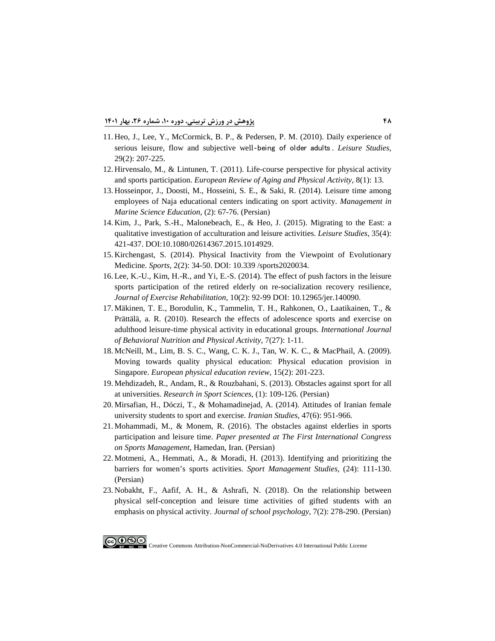- 11. [Heo, J., Lee, Y., McCormick, B. P., & Pedersen, P. M. \(2010\). Daily experience of](https://www.tandfonline.com/doi/full/10.1080/02614360903434092)  [serious leisure, flow and subjective well](https://www.tandfonline.com/doi/full/10.1080/02614360903434092)‐being of older adults . *Leisure Studies*, [29\(2\): 207-225.](https://www.tandfonline.com/doi/full/10.1080/02614360903434092)
- 12. [Hirvensalo, M., & Lintunen, T. \(2011\). Life-course perspective for physical activity](https://eurapa.biomedcentral.com/articles/10.1007/s11556-010-0076-3)  and sports participation. *[European Review of Aging and Physical Activity](https://eurapa.biomedcentral.com/articles/10.1007/s11556-010-0076-3)*, 8(1): 13.
- 13. [Hosseinpor, J., Doosti, M., Hosseini, S. E., & Saki, R. \(2014\). Leisure time among](https://www.sid.ir/fa/seminar/ViewPaper.aspx?ID=70066)  [employees of Naja educational centers indicating on sport activity.](https://www.sid.ir/fa/seminar/ViewPaper.aspx?ID=70066) *Management in [Marine Science Education](https://www.sid.ir/fa/seminar/ViewPaper.aspx?ID=70066)*, (2): 67-76. (Persian)
- 14. [Kim, J., Park, S.-H., Malonebeach, E., & Heo, J. \(2015\). Migrating to the East: a](https://yonsei.pure.elsevier.com/en/publications/migrating-to-the-east-a-qualitative-investigation-of-acculturatio)  [qualitative investigation of acculturation and leisure activities.](https://yonsei.pure.elsevier.com/en/publications/migrating-to-the-east-a-qualitative-investigation-of-acculturatio) *Leisure Studies*, 35(4): [421-437. DOI:10.1080/02614367.2015.1014929.](https://yonsei.pure.elsevier.com/en/publications/migrating-to-the-east-a-qualitative-investigation-of-acculturatio)
- 15. [Kirchengast, S. \(2014\). Physical Inactivity from the Viewpoint of](https://www.mdpi.com/2075-4663/2/2/34) Evolutionary Medicine. *Sports*[, 2\(2\): 34-50. DOI: 10.339 /sports2020034.](https://www.mdpi.com/2075-4663/2/2/34)
- 16. [Lee, K.-U., Kim, H.-R., and Yi, E.-S. \(2014\). The effect of push factors in the leisure](https://www.ncbi.nlm.nih.gov/pmc/articles/PMC4025556/)  [sports participation of the retired elderly on re-socialization recovery resilience,](https://www.ncbi.nlm.nih.gov/pmc/articles/PMC4025556/) *Journal of Exercise Rehabilitation*[, 10\(2\): 92-99 DOI: 10.12965/jer.140090.](https://www.ncbi.nlm.nih.gov/pmc/articles/PMC4025556/)
- 17. [Mäkinen, T. E., Borodulin, K., Tammelin, T. H., Rahkonen, O., Laatikainen, T., &](https://ijbnpa.biomedcentral.com/articles/10.1186/1479-5868-7-27)  [Prättälä, a. R. \(2010\). Research the effects of adolescence sports and exercise on](https://ijbnpa.biomedcentral.com/articles/10.1186/1479-5868-7-27)  [adulthood leisure-time physical](https://ijbnpa.biomedcentral.com/articles/10.1186/1479-5868-7-27) activity in educational groups. *International Journal [of Behavioral Nutrition and Physical Activity](https://ijbnpa.biomedcentral.com/articles/10.1186/1479-5868-7-27)*, 7(27): 1-11.
- 18. [McNeill, M., Lim, B. S. C., Wang, C. K. J., Tan, W. K. C., & MacPhail, A. \(2009\).](https://journals.sagepub.com/doi/abs/10.1177/1356336x09345224)  [Moving towards quality physical education: Physical education provision in](https://journals.sagepub.com/doi/abs/10.1177/1356336x09345224)  Singapore. *[European physical education review](https://journals.sagepub.com/doi/abs/10.1177/1356336x09345224)*, 15(2): 201-223.
- 19. [Mehdizadeh, R., Andam, R., & Rouzbahani, S. \(2013\). Obstacles against sport for all](http://ensani.ir/fa/article/342963/%D9%85%D9%88%D8%A7%D9%86%D8%B9-%D8%AA%D9%88%D8%B3%D8%B9%D9%87-%D9%88%D8%B1%D8%B2%D8%B4-%D9%87%D9%85%DA%AF%D8%A7%D9%86%DB%8C-%D8%AF%D8%B1-%D8%AF%D8%A7%D9%86%D8%B4%DA%AF%D8%A7%D9%87-%D9%87%D8%A7)  at universities. *[Research in Sport Sciences](http://ensani.ir/fa/article/342963/%D9%85%D9%88%D8%A7%D9%86%D8%B9-%D8%AA%D9%88%D8%B3%D8%B9%D9%87-%D9%88%D8%B1%D8%B2%D8%B4-%D9%87%D9%85%DA%AF%D8%A7%D9%86%DB%8C-%D8%AF%D8%B1-%D8%AF%D8%A7%D9%86%D8%B4%DA%AF%D8%A7%D9%87-%D9%87%D8%A7)*, (1): 109-126. (Persian)
- 20. [Mirsafian, H., Dóczi, T., & Mohamadinejad, A. \(2014\). Attitudes](https://www.tandfonline.com/doi/abs/10.1080/00210862.2013.823790) of Iranian female [university students to sport and exercise.](https://www.tandfonline.com/doi/abs/10.1080/00210862.2013.823790) *Iranian Studies*, 47(6): 951-966.
- 21. [Mohammadi, M., & Monem, R. \(2016\). The obstacles against elderlies in sports](https://en.civilica.com/doc/512636/) participation and leisure time. *[Paper presented at The First International Congress](https://en.civilica.com/doc/512636/)  on Sports Management*[, Hamedan, Iran.](https://en.civilica.com/doc/512636/) (Persian)
- 22. [Motmeni, A., Hemmati, A., & Moradi, H. \(2013\). Identifying and prioritizing the](https://smrj.ssrc.ac.ir/article_145.html?lang=en)  [barriers for women's sports activities.](https://smrj.ssrc.ac.ir/article_145.html?lang=en) *Sport Management Studies*, (24): 111-130. (Persian)
- 23. [Nobakht, F., Aafif, A. H., & Ashrafi, N. \(2018\). On the relationship between](http://jsp.uma.ac.ir/m/article_703.html?lang=en)  [physical self-conception and leisure time activities of gifted students with an](http://jsp.uma.ac.ir/m/article_703.html?lang=en)  [emphasis on physical activity.](http://jsp.uma.ac.ir/m/article_703.html?lang=en) *Journal of school psychology*, 7(2): 278-290. (Persian)



COCO SO Creative Commons Attribution-NonCommercial-NoDerivatives 4.0 International Public License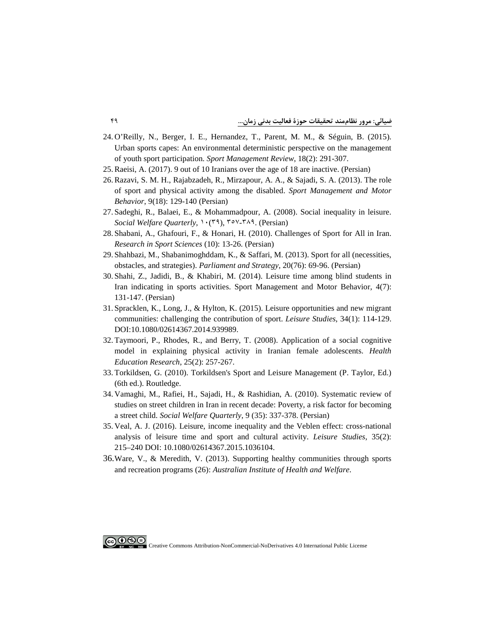- 24. [O'Reilly, N., Berger, I. E., Hernandez, T., Parent, M. M., & Séguin, B. \(2015\).](https://www.tandfonline.com/doi/abs/10.1016/j.smr.2014.07.003)  [Urban sports capes: An environmental deterministic perspective on the management](https://www.tandfonline.com/doi/abs/10.1016/j.smr.2014.07.003)  [of youth sport participation.](https://www.tandfonline.com/doi/abs/10.1016/j.smr.2014.07.003) *Sport Management Review*, 18(2): 291-307.
- 25[.Raeisi, A. \(2017\). 9 out of 10 Iranians over the age of 18 are inactive.](http://heart.kaums.ac.ir/Default.aspx?PageID=45&NewsID=460) (Persian)
- [26.Razavi, S. M. H., Rajabzadeh, R., Mirzapour, A. A., & Sajadi, S. A. \(2013\). The role](http://msb.journals.umz.ac.ir/article_799.html)  [of sport and physical activity among the disabled.](http://msb.journals.umz.ac.ir/article_799.html) *Sport Management and Motor Behavior*, 9(18): [129-140 \(Persian\)](http://msb.journals.umz.ac.ir/article_799.html)
- 27. [Sadeghi, R., Balaei, E., & Mohammadpour, A. \(2008\). Social inequality in leisure.](http://msb.journals.umz.ac.ir/article_799.html)  *[Social Welfare](http://msb.journals.umz.ac.ir/article_799.html) Quarterly*, ۱۰(۳۹), ۳٥۷-۳۸۹. (Persian)
- 28. Shabani, A., Ghafouri, F., [& Honari, H. \(2010\). Challenges of Sport for All in Iran.](http://ensani.ir/fa/article/310022/%D8%A8%D8%B1%D8%B1%D8%B3%DB%8C-%DA%86%D8%A7%D9%84%D8%B4-%D9%87%D8%A7%DB%8C-%D9%88%D8%B1%D8%B2%D8%B4-%D9%87%D9%85%DA%AF%D8%A7%D9%86%DB%8C-%D8%AF%D8%B1-%D8%A7%DB%8C%D8%B1%D8%A7%D9%86) *[Research in Sport Sciences](http://ensani.ir/fa/article/310022/%D8%A8%D8%B1%D8%B1%D8%B3%DB%8C-%DA%86%D8%A7%D9%84%D8%B4-%D9%87%D8%A7%DB%8C-%D9%88%D8%B1%D8%B2%D8%B4-%D9%87%D9%85%DA%AF%D8%A7%D9%86%DB%8C-%D8%AF%D8%B1-%D8%A7%DB%8C%D8%B1%D8%A7%D9%86)* (10): 13-26. (Persian)
- 29. [Shahbazi, M., Shabanimoghddam, K., & Saffari, M. \(2013\). Sport for all \(necessities,](https://www.sid.ir/fa/Journal/ViewPaper.aspx?ID=226194)  [obstacles, and strategies\).](https://www.sid.ir/fa/Journal/ViewPaper.aspx?ID=226194) *Parliament and Strategy*, 20(76): 69-96. (Persian)
- 30. [Shahi, Z., Jadidi, B., & Khabiri, M. \(2014\). Leisure](https://jrsm.khu.ac.ir/browse.php?a_code=A-10-3-79&slc_lang=fa&sid=1) time among blind students in [Iran indicating in sports activities. Sport Management and Motor Behavior, 4\(7\):](https://jrsm.khu.ac.ir/browse.php?a_code=A-10-3-79&slc_lang=fa&sid=1)  [131-147.](https://jrsm.khu.ac.ir/browse.php?a_code=A-10-3-79&slc_lang=fa&sid=1) (Persian)
- 31. [Spracklen, K., Long, J., & Hylton, K. \(2015\). Leisure opportunities and new migrant](https://cogentoa.tandfonline.com/doi/full/10.1080/02614367.2014.939989)  [communities: challenging the contribution of sport.](https://cogentoa.tandfonline.com/doi/full/10.1080/02614367.2014.939989) *Leisure Studies*, 34(1): 114-129. [DOI:10.1080/02614367.2014.939989.](https://cogentoa.tandfonline.com/doi/full/10.1080/02614367.2014.939989)
- 32. [Taymoori, P., Rhodes, R., and Berry, T. \(2008\). Application of a social cognitive](https://pubmed.ncbi.nlm.nih.gov/18936269/)  [model in explaining physical activity in Iranian female adolescents.](https://pubmed.ncbi.nlm.nih.gov/18936269/) *Health [Education Research](https://pubmed.ncbi.nlm.nih.gov/18936269/)*, 25(2): 257-267.
- 33. [Torkildsen, G. \(2010\). Torkildsen's Sport and Leisure Management \(P. Taylor, Ed.\)](https://www.taylorfrancis.com/books/mono/10.4324/9780203877517/torkildsen-sport-leisure-management-george-torkildsen-peter-taylor)  [\(6th ed.\). Routledge.](https://www.taylorfrancis.com/books/mono/10.4324/9780203877517/torkildsen-sport-leisure-management-george-torkildsen-peter-taylor)
- 34. [Vamaghi, M., Rafiei, H., Sajadi, H., & Rashidian, A. \(2010\). Systematic review of](http://refahj.uswr.ac.ir/article-1-554-en.html)  [studies on street children in Iran in recent decade: Poverty, a risk factor for becoming](http://refahj.uswr.ac.ir/article-1-554-en.html)  a street child. *[Social Welfare](http://refahj.uswr.ac.ir/article-1-554-en.html) Quarterly*, 9 (35): 337-378. (Persian)
- 35. [Veal, A. J. \(2016\). Leisure, income inequality and the Veblen effect: cross-national](https://www.tandfonline.com/doi/full/10.1080/02614367.2015.1036104)  [analysis of leisure time and sport and cultural activity.](https://www.tandfonline.com/doi/full/10.1080/02614367.2015.1036104) *Leisure Studies*, 35(2): [215–240 DOI: 10.1080/02614367.2015.1036104.](https://www.tandfonline.com/doi/full/10.1080/02614367.2015.1036104)
- [36.Ware, V., & Meredith, V. \(2013\). Supporting healthy communities through sports](https://dro.deakin.edu.au/view/DU:30069872)  and recreation programs (26): *[Australian Institute of Health and Welfare](https://dro.deakin.edu.au/view/DU:30069872)*.

Creative Commons Attribution-NonCommercial-NoDerivatives 4.0 International Public License